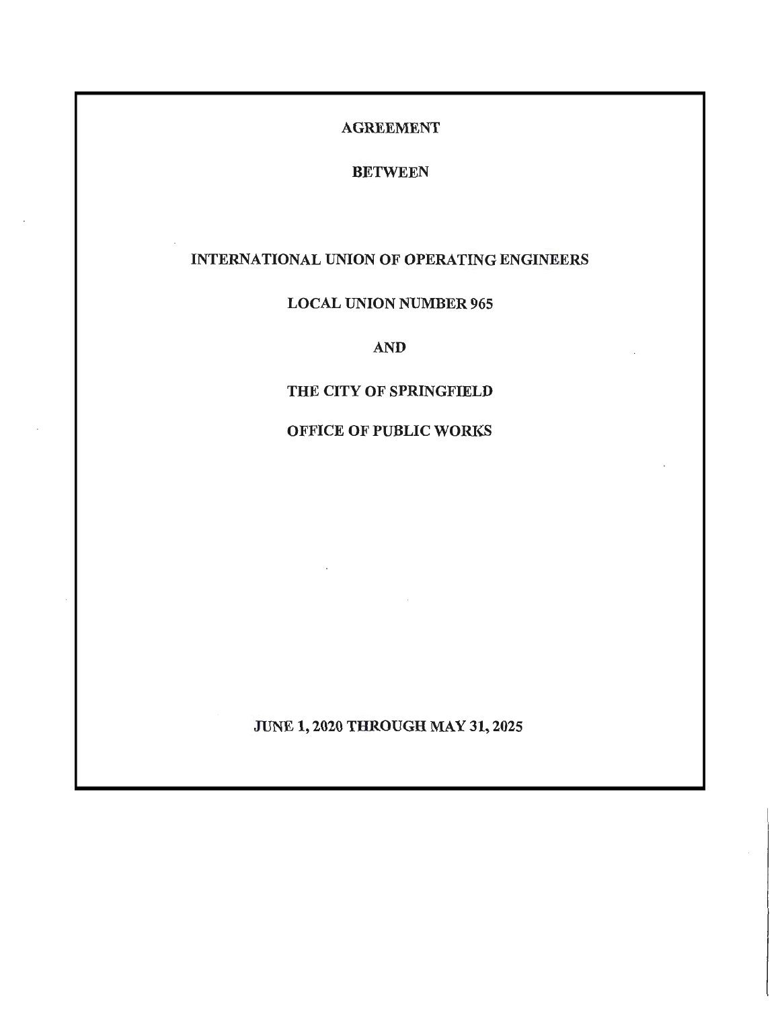## AGREEMENT

# BETWEEN

# INTERNATIONAL UNION OF OPERATING ENGINEERS

# LOCAL UNION NUMBER 965

## AND

## THE CITY OF SPRINGFIELD

# OFFICE OF PUBLIC WORKS

JUNE 1, 2020 THROUGH MAY 31, 2025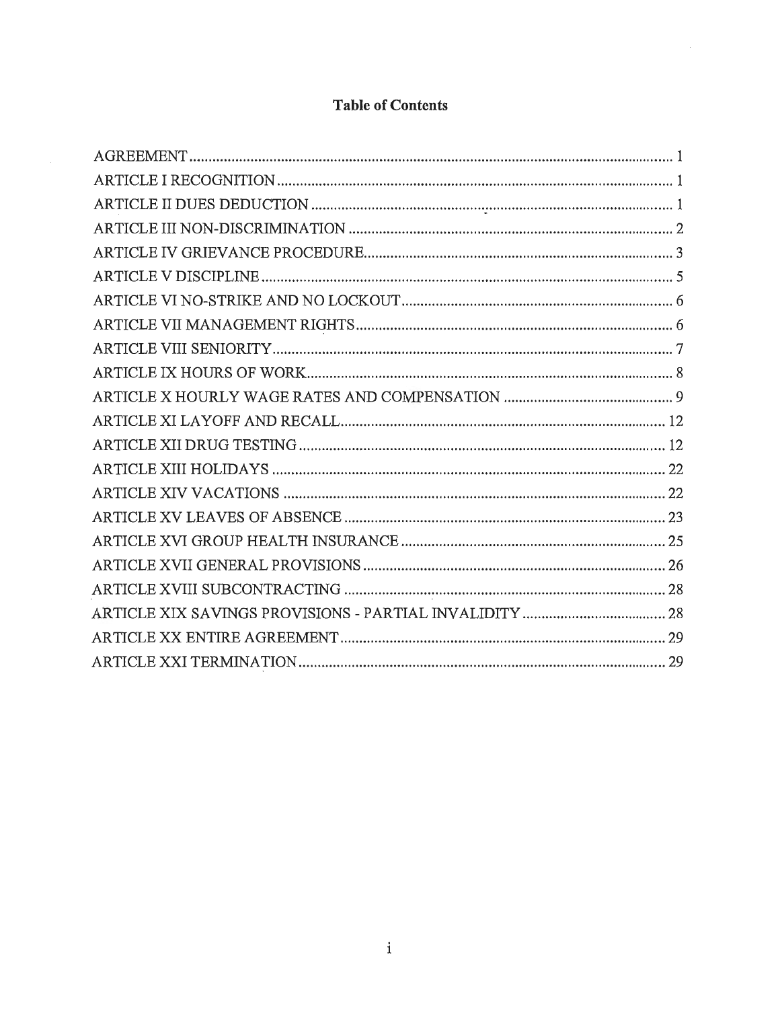# **Table of Contents**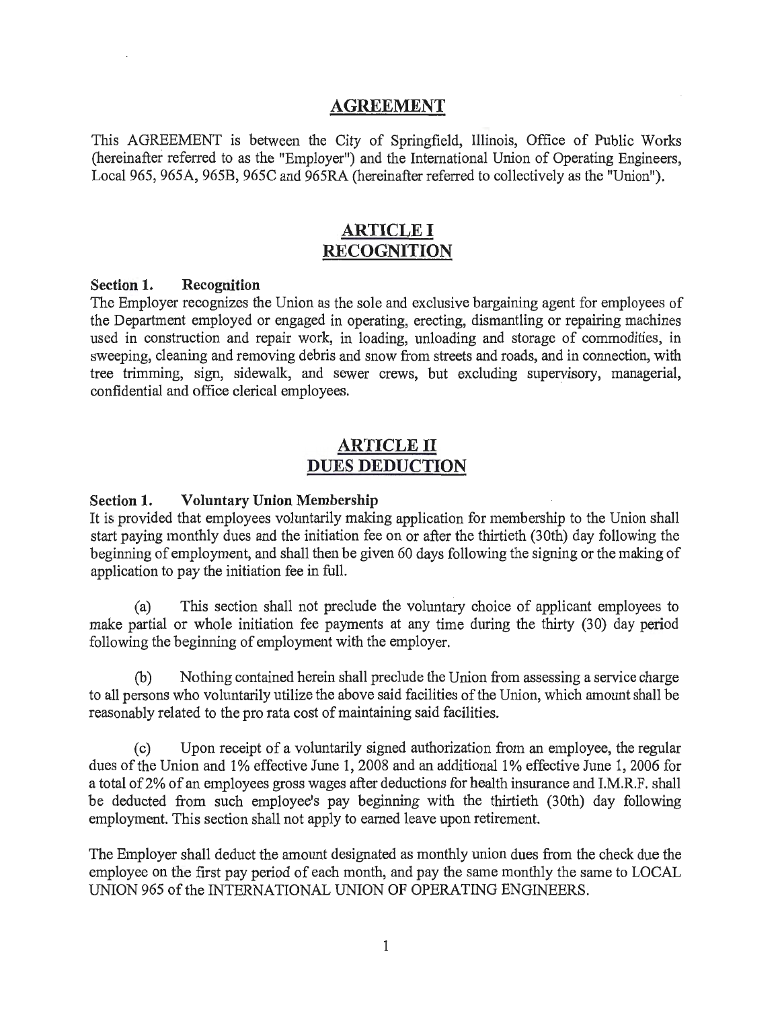## **AGREEMENT**

This AGREEMENT is between the City of Springfield, Illinois, Office of Public Works (hereinafter referred to as the "Employer") and the Intemational Union of Operating Engineers, Local 965, 965A, 965B, 965C and 965RA (hereinafter referred to collectively as the "Union").

# **ARTICLE I RECOGNITION**

#### **Section 1. Recognition**

The Employer recognizes the Union as the sole and exclusive bargaining agent for employees of the Department employed or engaged in operating, erecting, dismantling or repairing machines used in construction and repair work, in loading, unloading and storage of commodities, in sweeping, cleaning and removing debris and snow from streets and roads, and in connection, with tree trimming, sign, sidewalk, and sewer crews, but excluding supervisory, managerial, confidential and office clerical employees. .

# **ARTICLE II DUES DEDUCTION**

#### **Section 1. Voluntary Union Membership**

It is provided that employees voluntarily making application for membership to the Union shall start paying monthly dues and the initiation fee on or after the thirtieth (30th) day following the beginning of employment, and shall then be given 60 days following the signing or the making of application to pay the initiation fee in full.

(a) . This section shall not preclude the voluntary choice of applicant employees to make partial or whole initiation fee payments at any time during the thirty (30) day period following the beginning of employment with the employer.

(b) Nothing contained herein shall preclude the Union from assessing a service charge to all persons who voluntarily utilize the above said facilities of the Union, which amount shall be reasonably related to the pro rata cost of maintaining said facilities.

(c) Upon receipt of a voluntarily signed authorization from an employee, the regular dues of the Union and 1% effective June 1, 2008 and an additional 1% effective June 1, 2006 for a total of 2% of an employees gross wages after deductions for health insurance and I.M.R.F. shall be deducted from such employee's pay beginning with the thirtieth (30th) day following employment. This section shall not apply to earned leave upon retirement.

The Employer shall deduct the amount designated as monthly union dues from the check due the employee on the first pay period of each month, and pay the same monthly the same to LOCAL UNION 965 of the INTERNATIONAL UNION OF OPERATING ENGINEERS.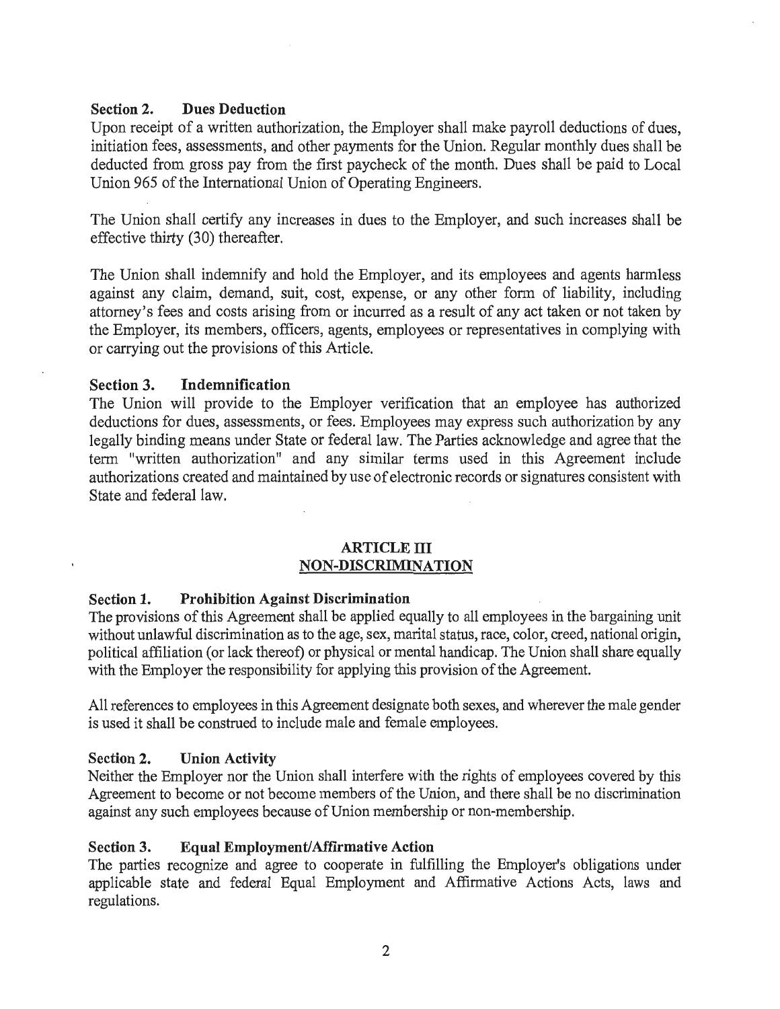## Section 2. Dues Deduction

Upon receipt of a written authorization, the Employer shall make payroll deductions of dues, initiation fees, assessments, and other payments for the Union. Regular monthly dues shall be deducted from gross pay from the first paycheck of the month. Dues shall be paid to Local Union 965 of the International Union of Operating Engineers.

The Union shall certify any increases in dues to the Employer, and such increases shall be effective thirty (30) thereafter.

The Union shall indemnify and hold the Employer, and its employees and agents harmless against any claim, demand, suit, cost, expense, or any other fonn of liability, including attorney's fees and costs arising from or incurred as a result of any act taken or not taken by the Employer, its members, officers, agents, employees or representatives in complying with or carrying out the provisions of this Article.

## Section 3. Indemnification

The Union will provide to the Employer verification that an employee has authorized deductions for dues, assessments, or fees. Employees may express such authorization by any legally binding means under State or federal law. The Parties acknowledge and agree that the term "written authorization" and any similar terms used in this Agreement include authorizations created and maintained by use of electronic records or signatures consistent with State and federal law.

### ARTICLE III NON-DISCRIMINATION

#### Section 1. Prohibition Against Discrimination

The provisions of this Agreement shall be applied equally to all employees in the bargaining unit without unlawful discrimination as to the age, sex, marital status, race, color, creed, national origin, political affiliation (or lack thereof) or physical or mental handicap. The Union shall share equally with the Employer the responsibility for applying this provision of the Agreement.

All references to employees in this Agreement designate both sexes, and wherever the male gender is used it shall be construed to include male and female employees.

### Section 2. Union Activity

Neither the Employer nor the Union shall interfere with the rights of employees covered by this Agreement to become or not become members of the Union, and there shall be no discrimination against any such employees because of Union membership or non-membership.

#### Section 3. Equal Employment/Affirmative Action

The parties recognize and agree to cooperate in fulfilling the Employer's obligations under applicable state and federal Equal Employment and Affirmative Actions Acts, laws and regulations.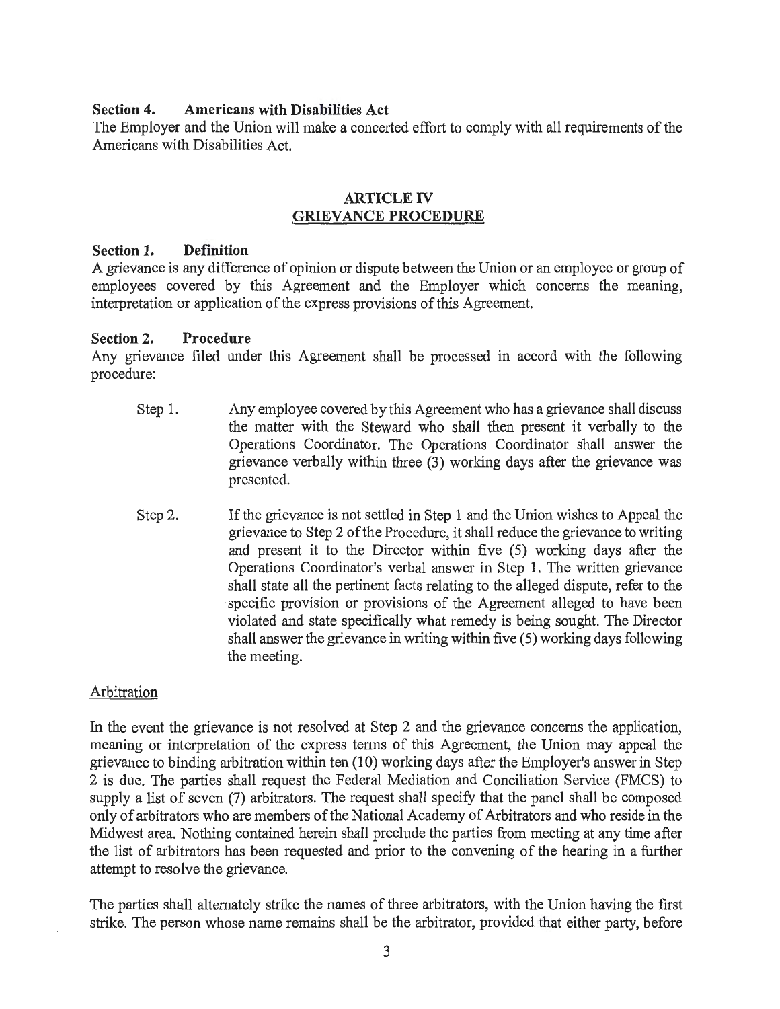#### **Section 4. Americans with Disabilities Act**

The Employer and the Union will make a concerted effort to comply with all requirements of the Americans with Disabilities Act.

#### **ARTICLE IV GRIEVANCE PROCEDURE**

#### **Section 1. Definition**

A grievance is any difference of opinion or dispute between the Union or an employee or group of employees covered by this Agreement and the Employer which concerns the meaning, interpretation or application of the express provisions of this Agreement.

#### **Section 2. Procedure**

Any grievance filed under this Agreement shall be processed in accord with the following procedure:

- Step 1. Any employee covered by this Agreement who has a grievance shall discuss the matter with the Steward who shall then present it verbally to the Operations Coordinator. The Operations Coordinator shall answer the grievance verbally within three (3) working days after the grievance was presented.
- Step 2. If the grievance is not settled in Step 1 and the Union wishes to Appeal the grievance to Step 2 of the Procedure, it shall reduce the grievance to writing and present it to the Director within five (5) working days after the Operations Coordinator's verbal answer in Step 1. The written grievance shall state all the pertinent facts relating to the alleged dispute, refer to the specific provision or provisions of the Agreement alleged to have been violated and state specifically what remedy is being sought. The Director shall answer the grievance in writing within five (5) working days following the meeting.

#### Arbitration

In the event the grievance is not resolved at Step 2 and the grievance concerns the application, meaning or interpretation of the express tenns of this Agreement, the Union may appeal the grievance to binding arbitration within ten (10) working days after the Employer's answer in Step 2 is due. The parties shall request the Federal Mediation and Conciliation Service (FMCS) to supply a list of seven (7) arbitrators. The request shall specify that the panel shall be composed only of arbitrators who are members of the National Academy of Arbitrators and who reside in the Midwest area. Nothing contained herein shall preclude the parties from meeting at any time after the list of arbitrators has been requested and prior to the convening of the hearing in a further attempt to resolve the grievance.

The parties shall alternately strike the names of three arbitrators, with the Union having the first strike. The person whose name remains shall be the arbitrator, provided that either party, before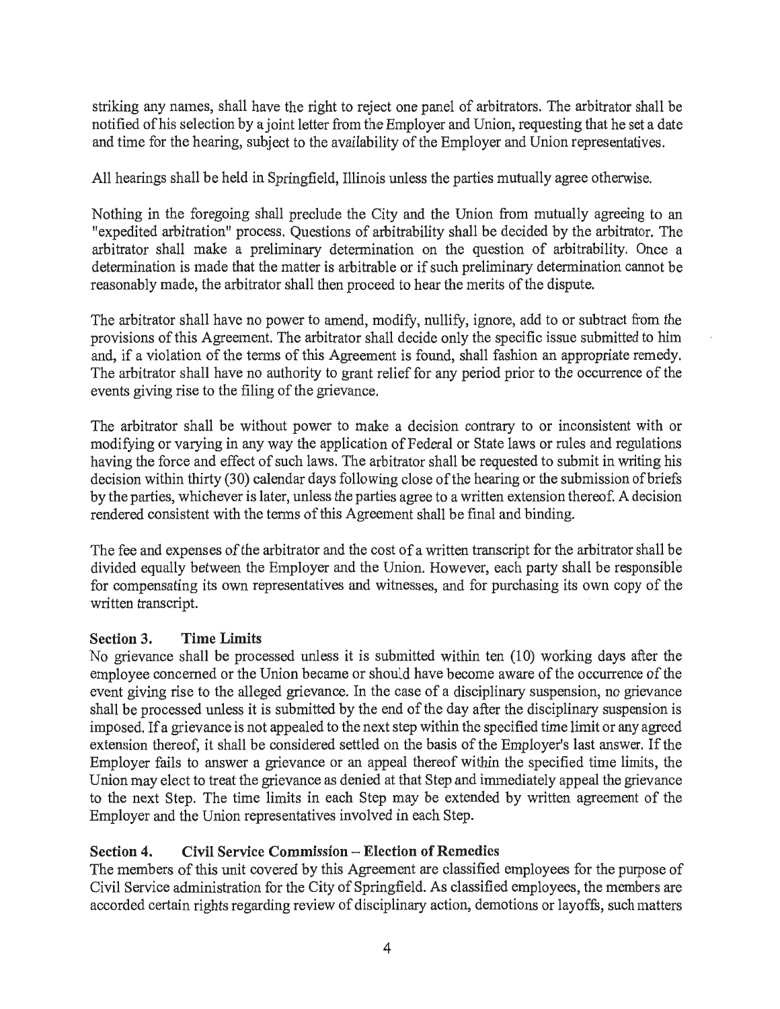striking any names, shall have the right to reject one panel of arbitrators. The arbitrator shall be notified ofhis selection by a joint letter from the Employer and Union, requesting that he set a date and time for the hearing, subject to the availability of the Employer and Union representatives.

All hearings shall be held in Springfield, Illinois unless the parties mutually agree otherwise.

Nothing in the foregoing shall preclude the City and the Union from mutually agreeing to an "expedited arbitration" process. Questions of arbitrability shall be decided by the arbitrator. The arbitrator shall make a preliminary determination on the question of arbitrability. Once a determination is made that the matter is arbitrable or if such preliminary determination cannot be reasonably made, the arbitrator shall then proceed to hear the merits of the dispute.

The arbitrator shall have no power to amend, modify, nullify, ignore, add to or subtract from the provisions of this Agreement. The arbitrator shall decide only the specific issue submitted to him and, if a violation of the terms of this Agreement is found, shall fashion an appropriate remedy. The arbitrator shall have no authority to grant relief for any period prior to the occurrence of the events giving rise to the filing of the grievance.

The arbitrator shall be without power to make a decision contrary to or inconsistent with or modifying or varying in any way the application of Federal or State laws or rules and regulations having the force and effect of such laws. The arbitrator shall be requested to submit in writing his decision within thirty (30) calendar days following close of the hearing or the submission of briefs by the parties, whichever is later, unless the parties agree to a written extension thereof. A decision rendered consistent with the terms of this Agreement shall be final and binding.

The fee and expenses of the arbitrator and the cost of a written transcript for the arbitrator shall be divided equally between the Employer and the Union. However, each party shall be responsible for compensating its own representatives and witnesses, and for purchasing its own copy of the written transcript.

## Section 3. Time Limits

No grievance shall be processed unless it is submitted within ten (10) working days after the employee concerned or the Union became or should have become aware of the occurrence of the event giving rise to the alleged grievance. In the case of a disciplinary suspension, no grievance shall be processed unless it is submitted by the end of the day after the disciplinary suspension is imposed. If a grievance is not appealed to the next step within the specified time limit or any agreed extension thereof, it shall be considered settled on the basis of the Employer's last answer. If the Employer fails to answer a grievance or an appeal thereof within the specified time limits, the Union may elect to treat the grievance as denied at that Step and immediately appeal the grievance to the next Step. The time limits in each Step may be extended by written agreement of the Employer and the Union representatives involved in each Step.

## Section 4. Civil Service Commission – Election of Remedies

The members of this unit covered by this Agreement are classified employees for the purpose of Civil Service administration for the City of Springfield. As classified employees, the members are accorded certain rights regarding review of disciplinary action, demotions or layoffs, such matters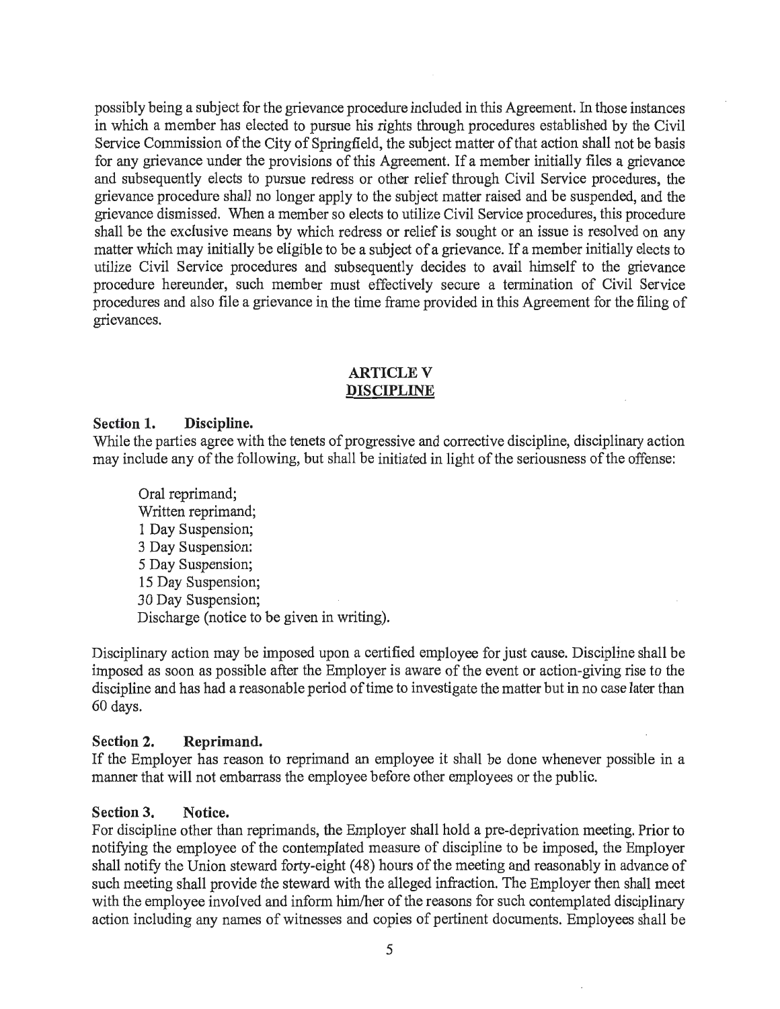possibly being a subject for the grievance procedure included in this Agreement. In those instances in which a member has elected to pursue his rights through procedures established by the Civil Service Commission of the City of Springfield, the subject matter of that action shall not be basis for any grievance under the provisions of this Agreement. If a member initially files a grievance and subsequently elects to pursue redress or other relief through Civil Service procedures, the grievance procedure shall no longer apply to the subject matter raised and be suspended, and the grievance dismissed. When a member so elects to utilize Civil Service procedures, this procedure shall be the exclusive means by which redress or relief is sought or an issue is resolved on any matter which may initially be eligible to be a subject of a grievance. If a member initially elects to utilize Civil Service procedures and subsequently decides to avail himself to the grievance procedure hereunder, such member must effectively secure a termination of Civil Service procedures and also file a grievance in the time frame provided in this Agreement for the filing of grievances.

## **ARTICLE V** DISCIPLINE

#### Section 1. Discipline.

While the parties agree with the tenets of progressive and corrective discipline, disciplinary action may include any of the following, but shall be initiated in light of the seriousness of the offense:

Oral reprimand; Written reprimand; 1 Day Suspension; 3 Day Suspension: 5 Day Suspension; 15 Day Suspension; 30 Day Suspension; Discharge (notice to be given in writing).

Disciplinary action may be imposed upon a certified employee for just cause. Discipline shall be imposed as soon as possible after the Employer is aware of the event or action-giving rise to the discipline and has had a reasonable period of time to investigate the matter but in no case later than 60 days.

## Section 2. Reprimand.

If the Employer has reason to reprimand an employee it shall be done whenever possible in a manner that will not embarrass the employee before other employees or the public.

#### Section 3. Notice.

For discipline other than reprimands, the Employer shall hold a pre-deprivation meeting. Prior to notifying the employee of the contemplated measure of discipline to be imposed, the Employer shall notify the Union steward forty-eight (48) hours of the meeting and reasonably in advance of such meeting shall provide the steward with the alleged infraction. The Employer then shall meet with the employee involved and inform him/her of the reasons for such contemplated disciplinary action including any names of witnesses and copies of pertinent documents. Employees shall be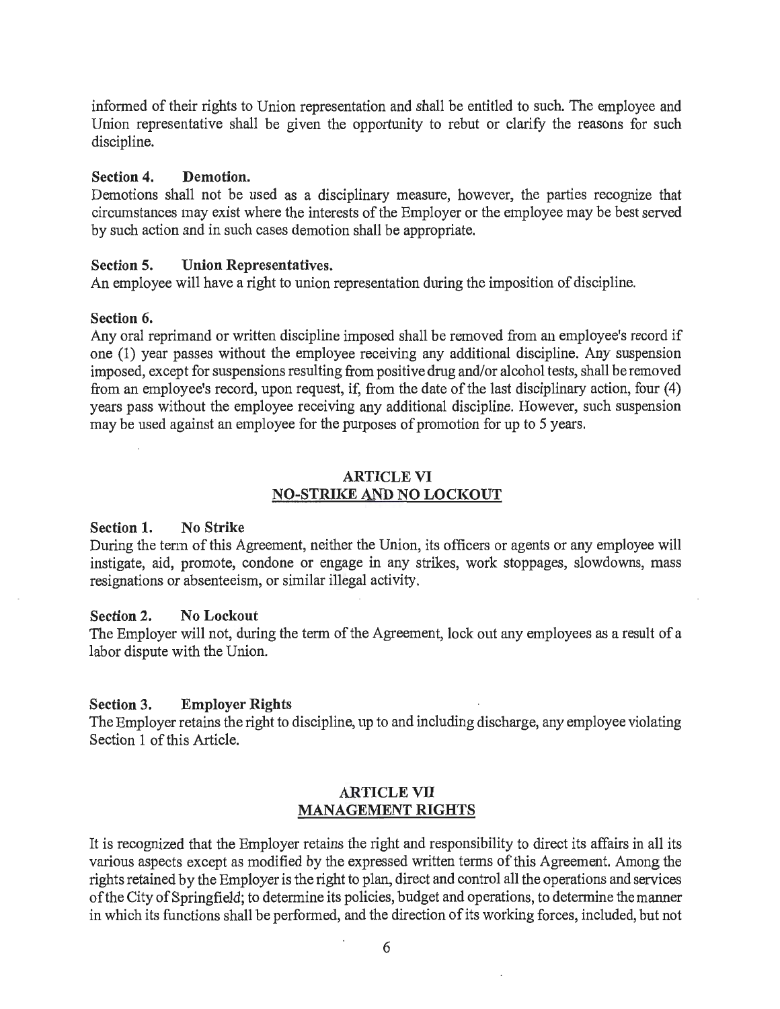informed of their rights to Union representation and shall be entitled to such. The employee and Union representative shall be given the opportunity to rebut or clarify the reasons for such discipline.

#### Section 4. Demotion.

Demotions shall not be used as a disciplinary measure, however, the parties recognize that circumstances may exist where the interests of the Employer or the employee may be best served by such action and in such cases demotion shall be appropriate.

#### Section 5. Union Representatives.

An employee will have a right to union representation during the imposition of discipline.

#### Section 6.

Any oral reprimand or written discipline imposed shall be removed from an employee's record if one (1) year passes without the employee receiving any additional discipline. Any suspension imposed, except for suspensions resulting from positive drug and/or alcohol tests, shall be removed from an employee's record, upon request, if, from the date of the last disciplinary action, four (4) years pass without the employee receiving any additional discipline. However, such suspension may be used against an employee for the purposes of promotion for up to 5 years.

### ARTICLE VI NO-STRIKE AND NO LOCKOUT

#### Section 1. No Strike

During the tenn of this Agreement, neither the Union, its officers or agents or any employee will instigate, aid, promote, condone or engage in any strikes, work stoppages, slowdowns, mass resignations or absenteeism, or similar illegal activity.

#### Section 2. No Lockout

The Employer will not, during the term of the Agreement, lock out any employees as a result of a labor dispute with the Union.

#### Section 3. Employer Rights

The Employer retains the right to discipline, up to and including discharge, any employee violating Section 1 of this Article.

#### ARTICLE VII MANAGEMENT RIGHTS

It is recognized that the Employer retains the right and responsibility to direct its affairs in all its various aspects except as modified by the expressed written terms of this Agreement. Among the rights retained by the Employer is the right to plan, direct and control all the operations and services of the City of Springfield; to determine its policies, budget and operations, to determine the manner in which its functions shall be performed, and the direction of its working forces, included, but not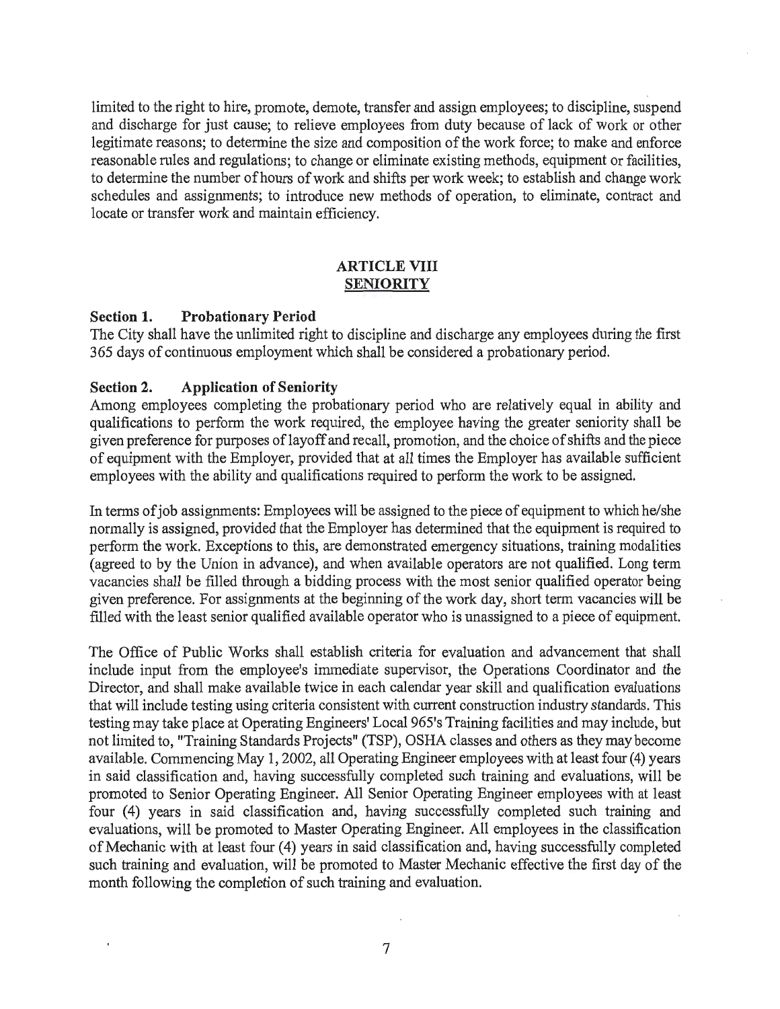limited to the right to hire, promote, demote, transfer and assign employees; to discipline, suspend and discharge for just cause; to relieve employees from duty because of lack of work or other legitimate reasons; to determine the size and composition of the work force; to make and enforce reasonable rnles and regulations; to change or eliminate existing methods, equipment or facilities, to determine the number of hours of work and shifts per work week; to establish and change work schedules and assignments; to introduce new methods of operation, to eliminate, contract and locate or transfer work and maintain efficiency.

#### **ARTICLE VIII SENIORITY**

#### **Section 1. Probationary Period**

The City shall have the unlimited right to discipline and discharge any employees during the first 365 days of continuous employment which shall be considered a probationary period.

#### **Section 2. Application of Seniority**

Among employees completing the probationary period who are relatively equal in ability and qualifications to perform the work required, the employee having the greater seniority shall be given preference for purposes of layoff and recall, promotion, and the choice of shifts and the piece of equipment with the Employer, provided that at all times the Employer has available sufficient employees with the ability and qualifications required to perform the work to be assigned.

In terms of job assignments: Employees will be assigned to the piece of equipment to which he/she normally is assigned, provided that the Employer has determined that the equipment is required to perform the work. Exceptions to this, are demonstrated emergency situations, training modalities (agreed to by the Union in advance), and when available operators are not qualified. Long term vacancies shall be filled through a bidding process with the most senior qualified operator being given preference. For assignments at the beginning of the work day, short term vacancies will be filled with the least senior qualified available operator who is unassigned to a piece of equipment.

The Office of Public Works shall establish criteria for evaluation and advancement that shall include input from the employee's immediate supervisor, the Operations Coordinator and the Director, and shall make available twice in each calendar year skill and qualification evaluations that will include testing using criteria consistent with current construction industry standards. This testing may take place at Operating Engineers' Local 965's Training facilities and may include, but not limited to, "Training Standards Projects" (TSP), OSHA classes and others as they may become available. Commencing May 1, 2002, all Operating Engineer employees with at least four (4) years in said classification and, having successfully completed such training and evaluations, will be promoted to Senior Operating Engineer. All Senior Operating Engineer employees with at least four (4) years in said classification and, having successfully completed such training and evaluations, will be promoted to Master Operating Engineer. All employees in the classification of Mechanic with at least four (4) years in said classification and, having successfully completed such training and evaluation, will be promoted to Master Mechanic effective the first day of the month following the completion of such training and evaluation.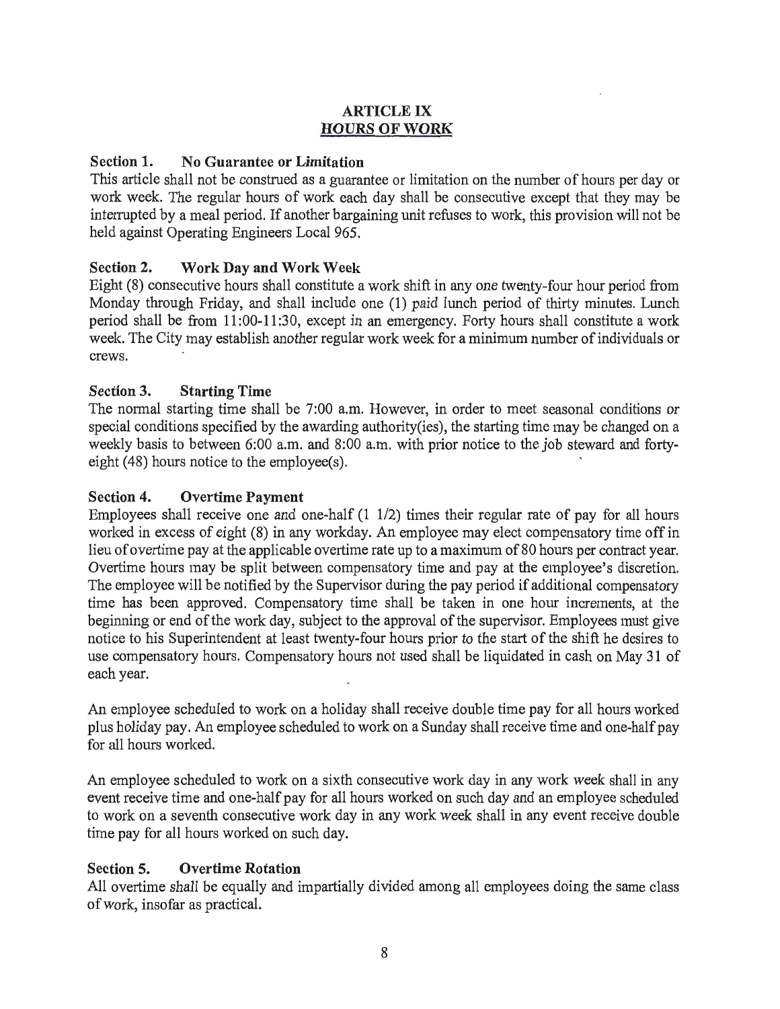## ARTICLE IX HOURS OF WORK

## Section 1. No Guarantee or Limitation

This article shall not be construed as a guarantee or limitation on the number of hours per day or work week. The regular hours of work each day shall be consecutive except that they may be interrupted by a meal period. If another bargaining unit refuses to work, this provision will not be held against Operating Engineers Local 965.

## Section 2. Work Day and Work Week

Eight (8) consecutive hours shall constitute a work shift in any one twenty-four hour period from Monday through Friday, and shall include one (1) paid lunch period of thirty minutes. Lunch period shall be from 11 :00-11 :30, except in an emergency. Forty hours shall constitute a work week. The City may establish another regular work week for a minimum number of individuals or crews.

## Section 3. Starting Time

The normal starting time shall be 7:00 a.m. However, in order to meet seasonal conditions or special conditions specified by the awarding authority(ies), the starting time may be changed on a weekly basis to between 6:00 a.m. and 8:00 a.m. with prior notice to the job steward and fortyeight (48) hours notice to the employee(s).

## Section 4. Overtime Payment

Employees shall receive one and one-half (1 1/2) times their regular rate of pay for all hours worked in excess of eight (8) in any workday. An employee may elect compensatory time off in lieu of overtime pay at the applicable overtime rate up to a maximum of 80 hours per contract year. Overtime hours may be split between compensatory time and pay at the employee's discretion. The employee will be notified by the Supervisor during the pay period if additional compensatory time has been approved. Compensatory time shall be taken in one hour increments, at the beginning or end of the work day, subject to the approval of the supervisor. Employees must give notice to his Superintendent at least twenty-four hours prior to the start of the shift he desires to use compensatory hours. Compensatory hours not used shall be liquidated in cash on May 31 of each year.

An employee scheduled to work on a holiday shall receive double time pay for all hours worked plus holiday pay. An employee scheduled to work on a Sunday shall receive time and one-half pay for all hours worked.

An employee scheduled to work on a sixth consecutive work day in any work week shall in any event receive time and one-half pay for all hours worked on such day and an employee scheduled to work on a seventh consecutive work day in any work week shall in any event receive double time pay for all hours worked on such day.

## Section 5. Overtime Rotation

All overtime shall be equally and impartially divided among all employees doing the same class of work, insofar as practical.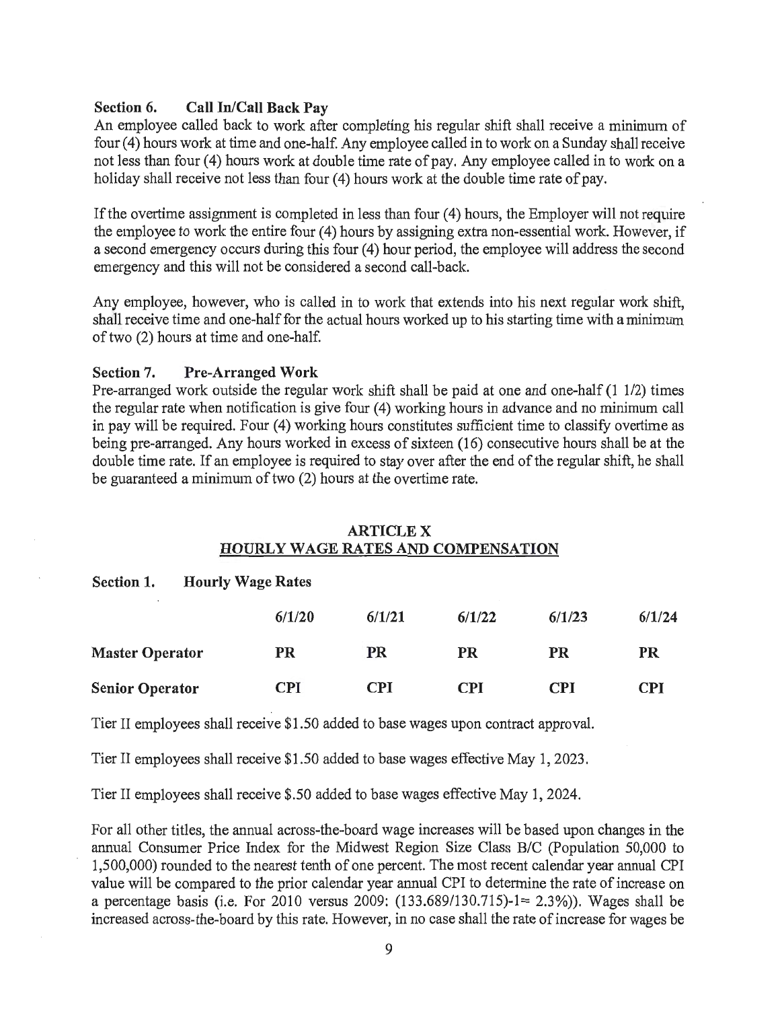### Section 6. Call In/Call Back Pay

An employee called back to work after completing his regular shift shall receive a minimum of four (4) hours work at time and one-half. Any employee called in to work on a Sunday shall receive not less than four (4) hours work at double time rate of pay. Any employee called in to work on a holiday shall receive not less than four (4) hours work at the double time rate of pay.

If the overtime assignment is completed in less than four  $(4)$  hours, the Employer will not require the employee to work the entire four (4) hours by assigning extra non-essential work. However, if a second emergency occurs during this four (4) hour period, the employee will address the second emergency and this will not be considered a second call-back.

Any employee, however, who is called in to work that extends into his next regular work shift, shall receive time and one-half for the actual hours worked up to his starting time with a minimum of two (2) hours at time and one-half.

#### Section 7. Pre-Arranged Work

Pre-arranged work outside the regular work shift shall be paid at one and one-half (1 1/2) times the regular rate when notification is give four (4) working hours in advance and no minimum call in pay will be required. Four (4) working hours constitutes sufficient time to classify overtime as being pre-arranged. Any hours worked in excess of sixteen (16) consecutive hours shall be at the double time rate. If an employee is required to stay over after the end of the regular shift, he shall be guaranteed a minimum of two (2) hours at the overtime rate.

#### ARTICLEX HOURLY WAGE RATES AND COMPENSATION

### Section 1. Hourly Wage Rates

|                        | 6/1/20     | 6/1/21     | 6/1/22     | 6/1/23 | 6/1/24     |
|------------------------|------------|------------|------------|--------|------------|
| <b>Master Operator</b> | PR         | <b>PR</b>  | PR         | PR     | PR         |
| <b>Senior Operator</b> | <b>CPI</b> | <b>CPI</b> | <b>CPI</b> | CPI    | <b>CPI</b> |

Tier II employees shall receive \$1.50 added to base wages upon contract approval.

Tier II employees shall receive \$1.50 added to base wages effective May 1, 2023.

Tier II employees shall receive \$.50 added to base wages effective May 1, 2024.

For all other titles, the annual across-the-board wage increases will be based upon changes in the annual Consumer Price Index for the Midwest Region Size Class B/C (Population 50,000 to 1,500,000) rounded to the nearest tenth of one percent. The most recent calendar year annual CPI value will be compared to the prior calendar year annual CPI to determine the rate of increase on a percentage basis (i.e. For 2010 versus 2009: (133.689/130.715)-1= 2.3%)). Wages shall be increased across-the-board by this rate. However, in no case shall the rate of increase for wages be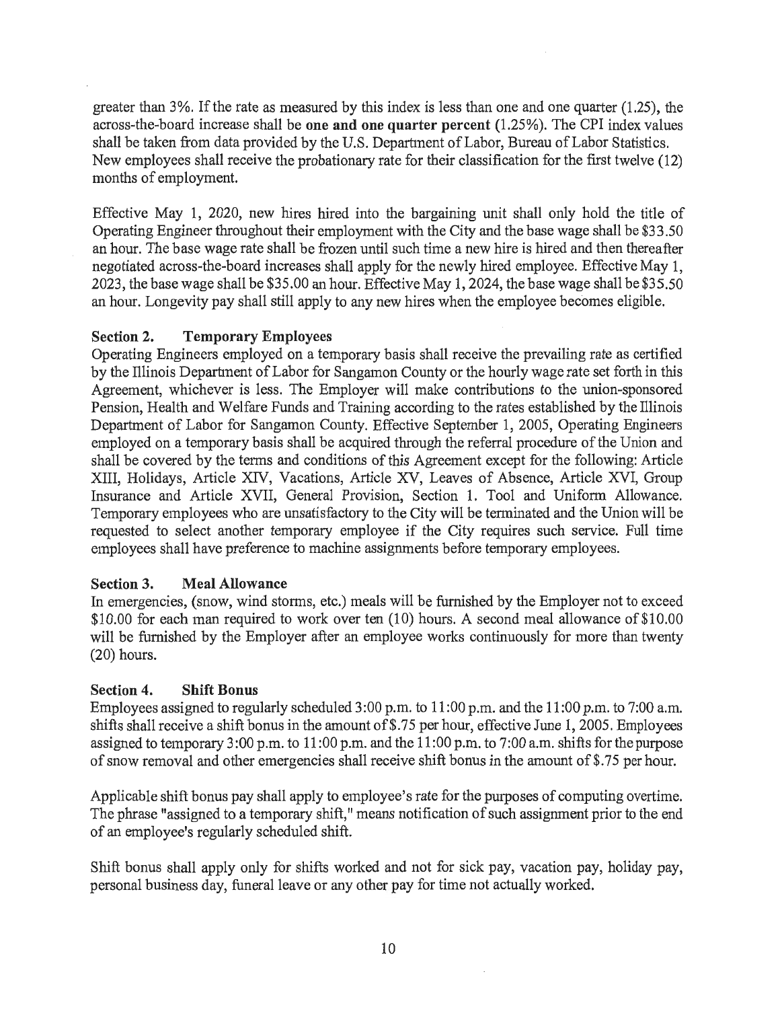greater than 3%. If the rate as measured by this index is less than one and one quarter (1.25), the across-the-board increase shall be one and one quarter percent (1.25%). The CPI index values shall be taken from data provided by the U.S. Department of Labor, Bureau of Labor Statistics. New employees shall receive the probationary rate for their classification for the first twelve (12) months of employment.

Effective May 1, 2020, new hires hired into the bargaining unit shall only hold the title of Operating Engineer throughout their employment with the City and the base wage shall be \$33.50 an hour. The base wage rate shall be frozen until such time a new hire is hired and then thereafter negotiated across-the-board increases shall apply for the newly hired employee. Effective May 1, 2023, the base wage shall be \$35.00 an hour. Effective May 1, 2024, the base wage shall be \$35.50 an hour. Longevity pay shall still apply to any new hires when the employee becomes eligible.

## Section 2. Temporary Employees

Operating Engineers employed on a temporary basis shall receive the prevailing rate as certified by the Illinois Department of Labor for Sangamon County or the hourly wage rate set forth in this Agreement, whichever is less. The Employer will make contributions to the union-sponsored Pension, Health and Welfare Funds and Training according to the rates established by the Illinois Department of Labor for Sangamon County. Effective September 1, 2005, Operating Engineers employed on a temporary basis shall be acquired through the referral procedure of the Union and shall be covered by the terms and conditions of this Agreement except for the following: Article XIII, Holidays, Article XIV, Vacations, Article XV, Leaves of Absence, Article XVI, Group Insurance and Article XVII, General Provision, Section 1. Tool and Uniform Allowance. Temporary employees who are unsatisfactory to the City will be terminated and the Union will be requested to select another temporary employee if the City requires such service. Full time employees shall have preference to machine assignments before temporary employees.

### Section 3. Meal Allowance

In emergencies, (snow, wind storms, etc.) meals will be furnished by the Employer not to exceed \$10.00 for each man required to work over ten (10) hours. A second meal allowance of \$10.00 will be furnished by the Employer after an employee works continuously for more than twenty (20) hours.

#### Section 4. Shift Bonus

Employees assigned to regularly scheduled 3 :00 p.m. to 11 :00 p.m. and the 11 :00 p.m. to 7:00 a.m. shifts shall receive a shift bonus in the amount of\$.75 per hour, effective June 1, 2005. Employees assigned to temporary 3:00 p.m. to 11:00 p.m. and the 11:00 p.m. to 7:00 a.m. shifts for the purpose of snow removal and other emergencies shall receive shift bonus in the amount of \$.75 per hour.

Applicable shift bonus pay shall apply to employee's rate for the purposes of computing overtime. The phrase "assigned to a temporary shift," means notification of such assignment prior to the end of an employee's regularly scheduled shift.

Shift bonus shall apply only for shifts worked and not for sick pay, vacation pay, holiday pay, personal business day, funeral leave or any other pay for time not actually worked.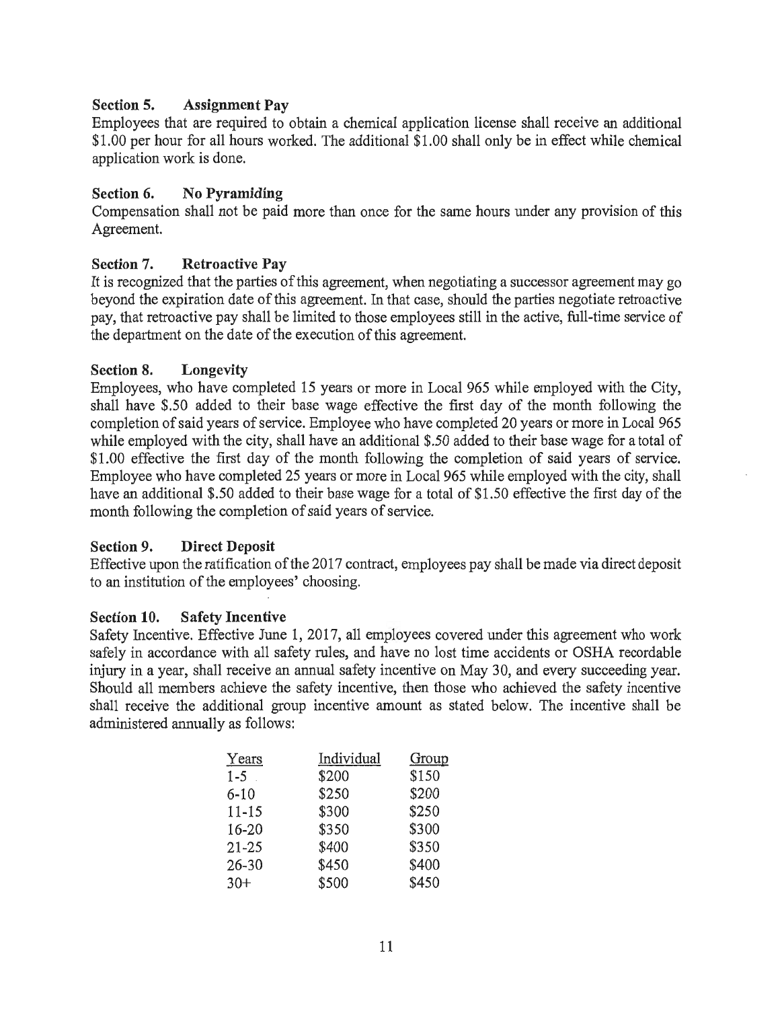# Section 5. Assignment Pay

Employees that are required to obtain a chemical application license shall receive an additional \$1.00 per hour for all hours worked. The additional \$1 .00 shall only be in effect while chemical application work is done.

# Section 6. No Pyramiding

Compensation shall not be paid more than once for the same hours under any provision of this Agreement.

# Section 7. Retroactive Pay

It is recognized that the parties of this agreement, when negotiating a successor agreement may go beyond the expiration date of this agreement. In that case, should the parties negotiate retroactive pay, that retroactive pay shall be limited to those employees still in the active, full-time service of the department on the date of the execution of this agreement.

## Section 8. Longevity

Employees, who have completed 15 years or more in Local 965 while employed with the City, shall have \$.50 added to their base wage effective the first day of the month following the completion of said years of service. Employee who have completed 20 years or more in Local 965 while employed with the city, shall have an additional \$.50 added to their base wage for a total of \$1.00 effective the first day of the month following the completion of said years of service. Employee who have completed 25 years or more in Local 965 while employed with the city, shall have an additional \$.50 added to their base wage for a total of \$1.50 effective the first day of the month following the completion of said years of service.

## Section 9. Direct Deposit

Effective upon the ratification of the 2017 contract, employees pay shall be made via direct deposit to an institution of the employees' choosing.

## Section 10. Safety Incentive

Safety Incentive. Effective June 1, 2017, all employees covered under this agreement who work safely in accordance with all safety rules, and have no lost time accidents or OSHA recordable injury in a year, shall receive an annual safety incentive on May 30, and every succeeding year. Should all members achieve the safety incentive, then those who achieved the safety incentive shall receive the additional group incentive amount as stated below. The incentive shall be administered annually as follows:

| Years     | Individual | Group |
|-----------|------------|-------|
| $1 - 5$   | \$200      | \$150 |
| $6 - 10$  | \$250      | \$200 |
| $11 - 15$ | \$300      | \$250 |
| 16-20     | \$350      | \$300 |
| $21 - 25$ | \$400      | \$350 |
| $26 - 30$ | \$450      | \$400 |
| $30+$     | \$500      | \$450 |
|           |            |       |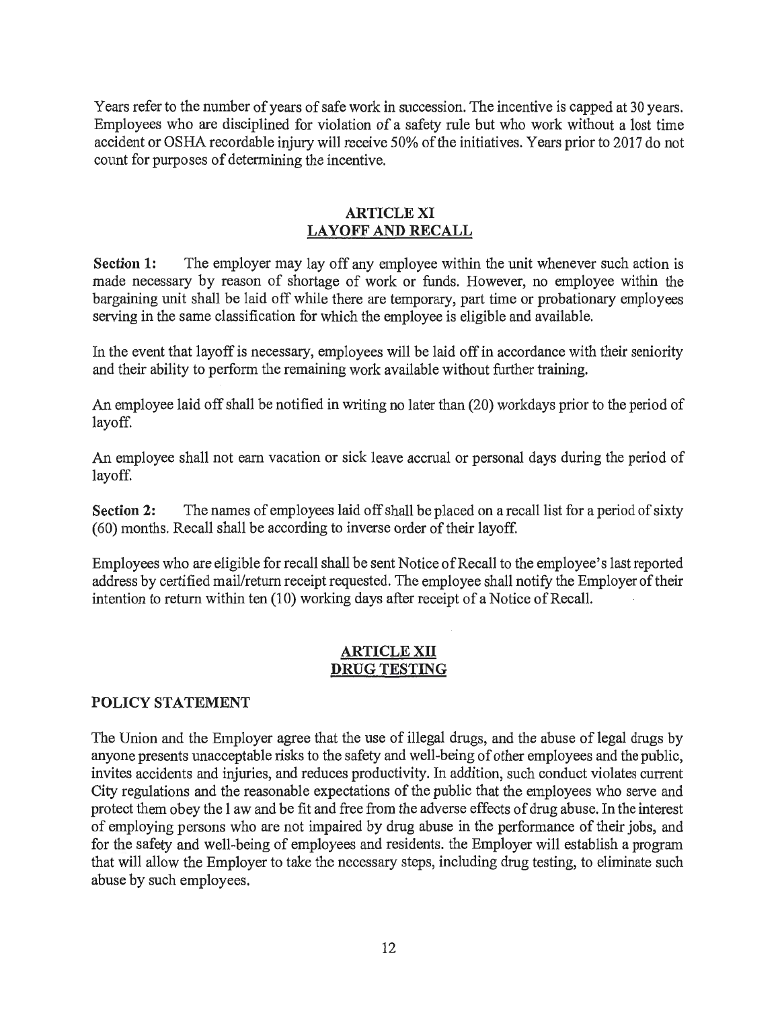Years refer to the number of years of safe work in succession. The incentive is capped at 30 years. Employees who are disciplined for violation of a safety rule but who work without a lost time accident or OSHA recordable injury will receive 50% of the initiatives. Years prior to 2017 do not count for purposes of determining the incentive.

### ARTICLE XI LAYOFF AND RECALL

Section 1: The employer may lay off any employee within the unit whenever such action is made necessary by reason of shortage of work or funds. However, no employee within the bargaining unit shall be laid off while there are temporary, part time or probationary employees serving in the same classification for which the employee is eligible and available.

In the event that layoff is necessary, employees will be laid off in accordance with their seniority and their ability to perform the remaining work available without further training.

An employee laid off shall be notified in writing no later than (20) workdays prior to the period of layoff.

An employee shall not earn vacation or sick leave accrnal or personal days during the period of layoff.

Section 2: The names of employees laid off shall be placed on a recall list for a period of sixty (60) months. Recall shall be according to inverse order of their layoff.

Employees who are eligible for recall shall be sent Notice of Recall to the employee's last reported address by certified mail/return receipt requested. The employee shall notify the Employer of their intention to return within ten (10) working days after receipt of a Notice of Recall.

## ARTICLE XII DRUG TESTING

## POLICY STATEMENT

The Union and the Employer agree that the use of illegal drugs, and the abuse of legal drugs by anyone presents unacceptable risks to the safety and well-being of other employees and the public, invites accidents and injuries, and reduces productivity. In addition, such conduct violates current City regulations and the reasonable expectations of the public that the employees who serve and protect them obey the 1 aw and be fit and free from the adverse effects of drug abuse. In the interest of employing persons who are not impaired by drug abuse in the performance of their jobs, and for the safety and well-being of employees and residents. the Employer will establish a program that will allow the Employer to take the necessary steps, including drug testing, to eliminate such abuse by such employees.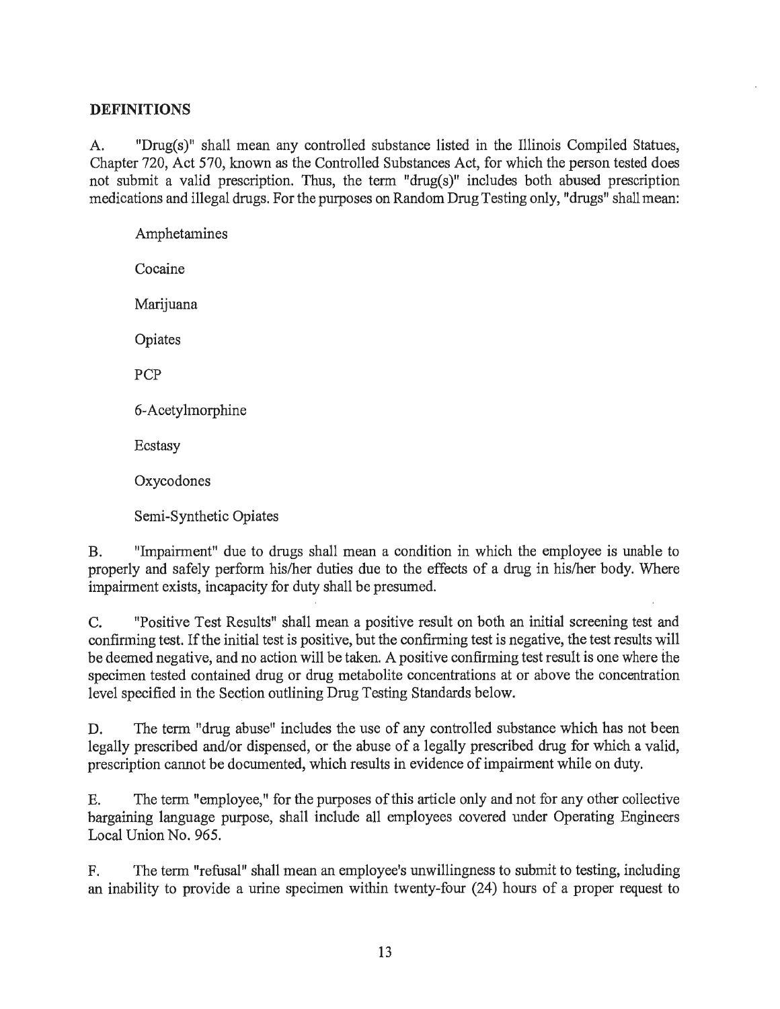## **DEFINITIONS**

A. "Drug(s)" shall mean any controlled substance listed in the Illinois Compiled Statues, Chapter 720, Act 570, known as the Controlled Substances Act, for which the person tested does not submit a valid prescription. Thus, the term "drug(s)" includes both abused prescription medications and illegal drugs. For the purposes on Random Drug Testing only, "drugs" shall mean:

Amphetamines Cocaine Marijuana Opiates PCP 6-Acetylmorphine Ecstasy Oxycodones Semi-Synthetic Opiates

B. "Impairment" due to drugs shall mean a condition in which the employee is unable to properly and safely perform his/her duties due to the effects of a drug in his/her body. Where impairment exists, incapacity for duty shall be presumed.

C. "Positive Test Results" shall mean a positive result on both an initial screening test and confinning test. If the initial test is positive, but the confirming test is negative, the test results will be deemed negative, and no action will be taken. A positive confirming test result is one where the specimen tested contained drug or drug metabolite concentrations at or above the concentration level specified in the Section outlining Drug Testing Standards below.

D. The term "drug abuse" includes the use of any controlled substance which has not been legally prescribed and/or dispensed, or the abuse of a legally prescribed drug for which a valid, prescription cannot be documented, which results in evidence of impairment while on duty.

E. The term "employee," for the purposes of this article only and not for any other collective bargaining language purpose, shall include all employees covered under Operating Engineers Local Union No. 965.

F. The term "refusal" shall mean an employee's unwillingness to submit to testing, including an inability to provide a urine specimen within twenty-four (24) hours of a proper request to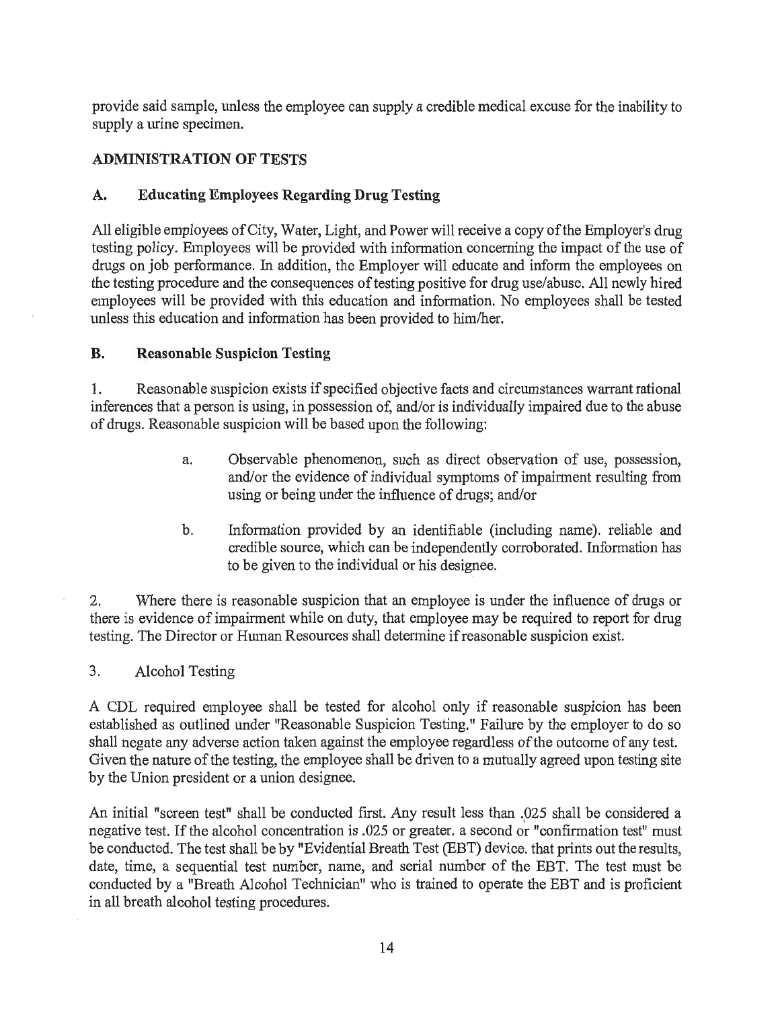provide said sample, unless the employee can supply a credible medical excuse for the inability to supply a urine specimen.

## ADMINISTRATION OF TESTS

## A. Educating Employees Regarding Drug Testing

All eligible employees of City, Water, Light, and Power will receive a copy of the Employer's drug testing policy. Employees will be provided with information concerning the impact of the use of drugs on job performance. In addition, the Employer will educate and inform the employees on the testing procedure and the consequences of testing positive for drug use/abuse. All newly hired employees will be provided with this education and information. No employees shall be tested unless this education and infonnation has been provided to him/her.

#### B. Reasonable Suspicion Testing

1. Reasonable suspicion exists if specified objective facts and circumstances warrant rational inferences that a person is using, in possession of, and/or is individually impaired due to the abuse of drugs. Reasonable suspicion will be based upon the following:

- a. Observable phenomenon, such as direct observation of use, possession, and/or the evidence of individual symptoms of impainnent resulting from using or being under the influence of drugs; and/or
- b. Information provided by an identifiable (including name). reliable and credible source, which can be independently corroborated. Information has to be given to the individual or his designee.

2. Where there is reasonable suspicion that an employee is under the influence of drugs or there is evidence of impairment while on duty, that employee may be required to report for drug testing. The Director or Human Resources shall detennine if reasonable suspicion exist.

#### 3. Alcohol Testing

A CDL required employee shall be tested for alcohol only if reasonable suspicion has been established as outlined under "Reasonable Suspicion Testing." Failure by the employer to do so shall negate any adverse action taken against the employee regardless of the outcome of any test. Given the nature of the testing, the employee shall be driven to a mutually agreed upon testing site by the Union president or a union designee.

An initial "screen test" shall be conducted first. Any result less than .025 shall be considered a negative test. If the alcohol concentration is .025 or greater. a second or "confirmation test" must be conducted. The test shall be by "Evidential Breath Test (EBT) device. that prints out the results, date, time, a sequential test number, name, and serial number of the EBT. The test must be conducted by a "Breath Alcohol Technician" who is trained to operate the EBT and is proficient in all breath alcohol testing procedures.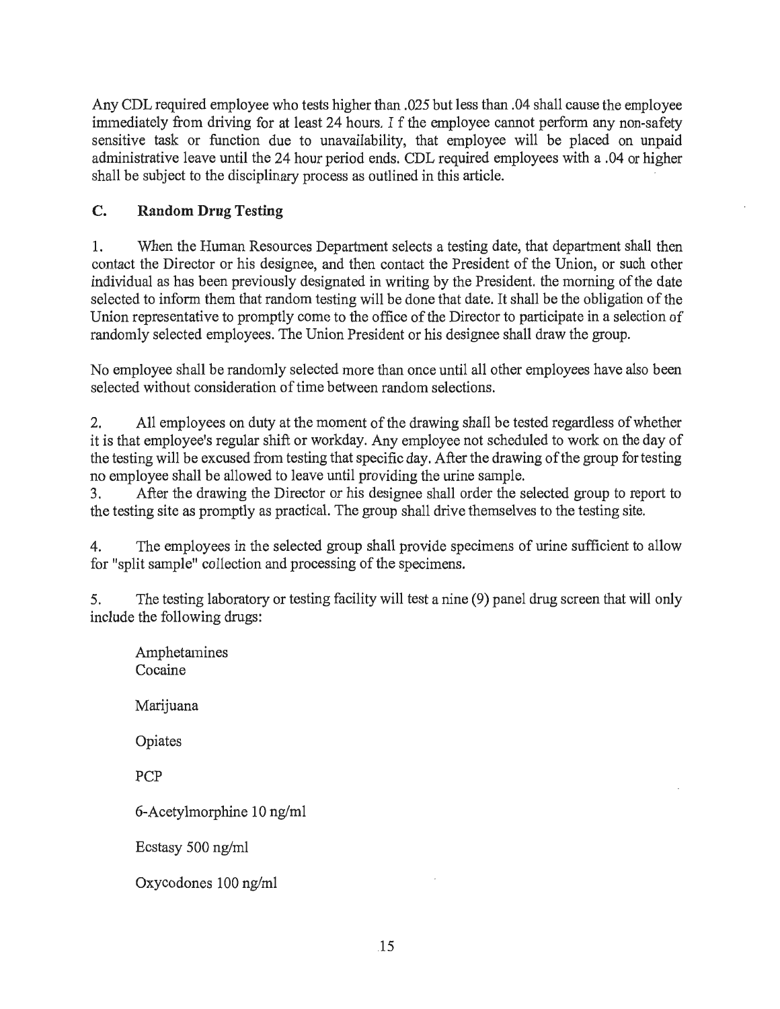Any CDL required employee who tests higher than .025 but less than .04 shall cause the employee immediately from driving for at least 24 hours. I f the employee cannot perform any non-safety sensitive task or function due to unavailability, that employee will be placed on unpaid administrative leave until the 24 hour period ends. CDL required employees with a .04 or higher shall be subject to the disciplinary process as outlined in this article.

# **C. Random Drug Testing**

1. When the Human Resources Department selects a testing date, that department shall then contact the Director or his designee, and then contact the President of the Union, or such other individual as has been previously designated in writing by the President. the morning of the date selected to inform them that random testing will be done that date. It shall be the obligation of the Union representative to promptly come to the office of the Director to participate in a selection of randomly selected employees. The Union President or his designee shall draw the group.

No employee shall be randomly selected more than once until all other employees have also been selected without consideration of time between random selections.

2. All employees on duty at the moment of the drawing shall be tested regardless of whether it is that employee's regular shift or workday. Any employee not scheduled to work on the day of the testing will be excused from testing that specific day. After the drawing of the group for testing no employee shall be allowed to leave until providing the urine sample.

3. After the drawing the Director or his designee shall order the selected group to report to the testing site as promptly as practical. The group shall drive themselves to the testing site.

4. The employees in the selected group shall provide specimens of urine sufficient to allow for "split sample" collection and processing of the specimens.

5. The testing laboratory or testing facility will test a nine (9) panel drug screen that will only include the following drugs:

Amphetamines Cocaine Marijuana Opiates PCP 6-Acetylmorphine 10 ng/ml Ecstasy 500 ng/ml Oxycodones 100 ng/ml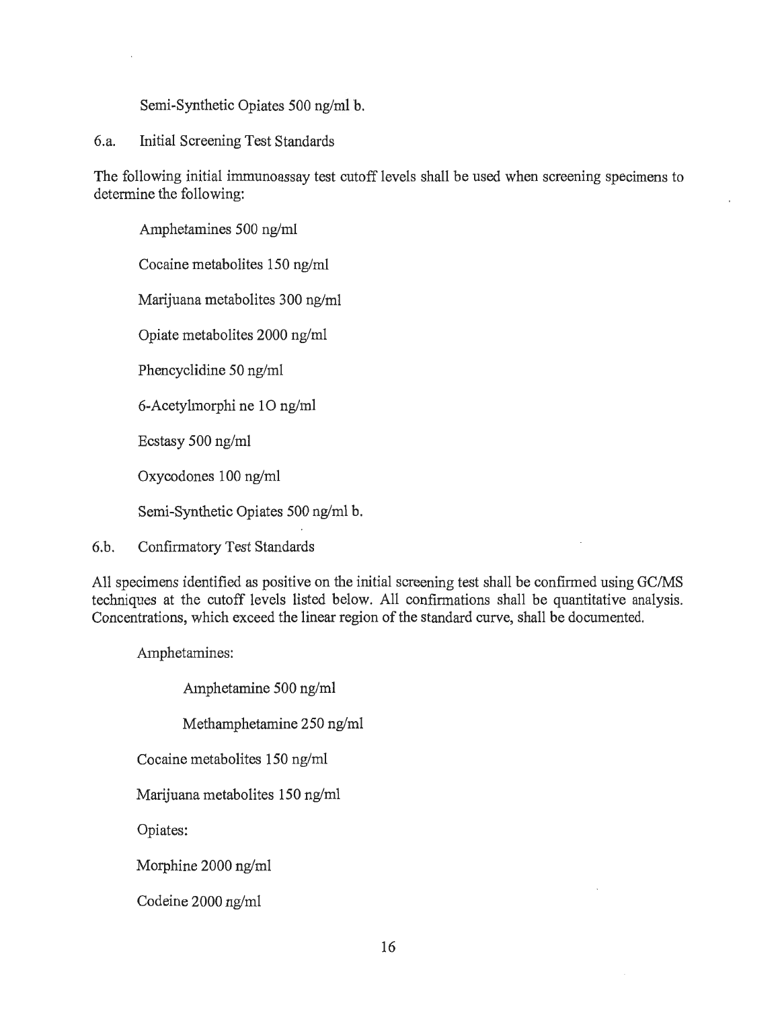Semi-Synthetic Opiates 500 ng/ml b.

6.a. Initial Screening Test Standards

The following initial immunoassay test cutoff levels shall be used when screening specimens to determine the following:

Amphetamines 500 ng/ml Cocaine metabolites 150 ng/ml

Marijuana metabolites 300 ng/ml

Opiate metabolites 2000 ng/ml

Phencyclidine 50 ng/ml

6-Acetylmorphi ne 10 ng/ml

Ecstasy 500 ng/ml

Oxycodones 100 ng/ml

Semi-Synthetic Opiates 500 ng/ml b.

6.b. Confirmatory Test Standards

All specimens identified as positive on the initial screening test shall be confirmed using GC/MS techniques at the cutoff levels listed below. All confirmations shall be quantitative analysis. Concentrations, which exceed the linear region of the standard curve, shall be documented.

Amphetamines:

Amphetamine 500 ng/ml

Methamphetamine 250 ng/ml

Cocaine metabolites 150 ng/ml

Marijuana metabolites 150 ng/ml

Opiates:

Morphine 2000 ng/ml

Codeine 2000 ng/ml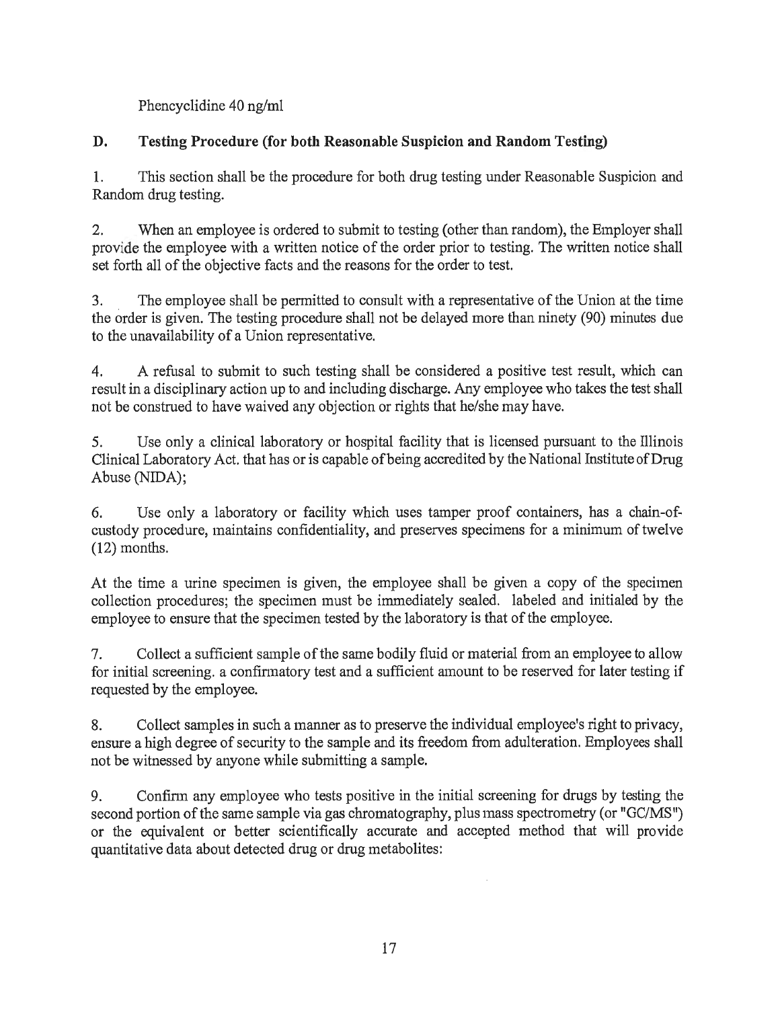Phencyclidine 40 ng/ml

# **D. Testing Procedure (for both Reasonable Suspicion and Random Testing)**

1. This section shall be the procedure for both drug testing under Reasonable Suspicion and Random drug testing.

2. When an employee is ordered to submit to testing (other than random), the Employer shall provide the employee with a written notice of the order prior to testing. The written notice shall set forth all of the objective facts and the reasons for the order to test.

3. The employee shall be permitted to consult with a representative of the Union at the time the order is given. The testing procedure shall not be delayed more than ninety (90) minutes due to the unavailability of a Union representative.

4. A refusal to submit to such testing shall be considered a positive test result, which can result in a disciplinary action up to and including discharge. Any employee who takes the test shall not be construed to have waived any objection or rights that he/she may have.

5. Use only a clinical laboratory or hospital facility that is licensed pursuant to the Illinois Clinical Laboratory Act. that has or is capable of being accredited by the National Institute of Drug Abuse (NIDA);

6. Use only a laboratory or facility which uses tamper proof containers, has a chain-ofcustody procedure, maintains confidentiality, and preserves specimens for a minimum of twelve (12) months.

At the time a urine specimen is given, the employee shall be given a copy of the specimen collection procedures; the specimen must be immediately sealed. labeled and initialed by the employee to ensure that the specimen tested by the laboratory is that of the employee.

7. Collect a sufficient sample of the same bodily fluid or material from an employee to allow for initial screening. a confinnatory test and a sufficient amount to be reserved for later testing if requested by the employee.

8. Collect samples in such a manner as to preserve the individual employee's right to privacy, ensure a high degree of security to the sample and its freedom from adulteration. Employees shall not be witnessed by anyone while submitting a sample.

9. Confinn any employee who tests positive in the initial screening for drugs by testing the second portion of the same sample via gas chromatography, plus mass spectrometry (or "GC/MS") or the equivalent or better scientifically accurate and accepted method that will provide quantitative data about detected drug or drug metabolites: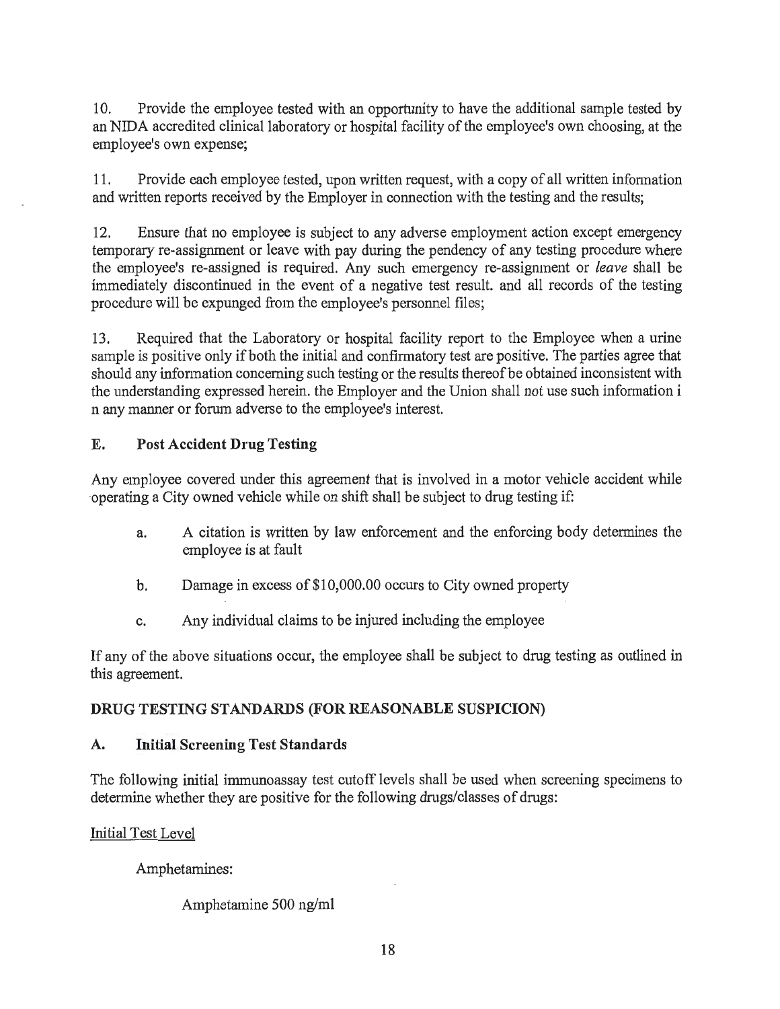10. Provide the employee tested with an opportunity to have the additional sample tested by an NIDA accredited clinical laboratory or hospital facility of the employee's own choosing, at the employee's own expense;

11. Provide each employee tested, upon written request, with a copy of all written infonnation and written reports received by the Employer in connection with the testing and the results;

12. Ensure that no employee is subject to any adverse employment action except emergency temporary re-assignment or leave with pay during the pendency of any testing procedure where the employee's re-assigned is required. Any such emergency re-assignment or *leave* shall be immediately discontinued in the event of a negative test result. and all records of the testing procedure will be expunged from the employee's personnel files;

13. Required that the Laboratory or hospital facility report to the Employee when a urine sample is positive only if both the initial and confirmatory test are positive. The parties agree that should any information concerning such testing or the results thereof be obtained inconsistent with the understanding expressed herein. the Employer and the Union shall not use such information i n any manner or forum adverse to the employee's interest.

# E. Post Accident Drug Testing

Any employee covered under this agreement that is involved in a motor vehicle accident while operating a City owned vehicle while on shift shall be subject to drug testing if:

- a. A citation is written by law enforcement and the enforcing body determines the employee is at fault
- b. Damage in excess of \$10,000.00 occurs to City owned property
- c. Any individual claims to be injured including the employee

If any of the above situations occur, the employee shall be subject to drug testing as outlined in this agreement.

## DRUG TESTING STANDARDS (FOR REASONABLE SUSPICION)

## A. Initial Screening Test Standards

The following initial immunoassay test cutoff levels shall be used when screening specimens to determine whether they are positive for the following drugs/classes of drugs:

Initial Test Level

Amphetamines:

Amphetamine 500 ng/ml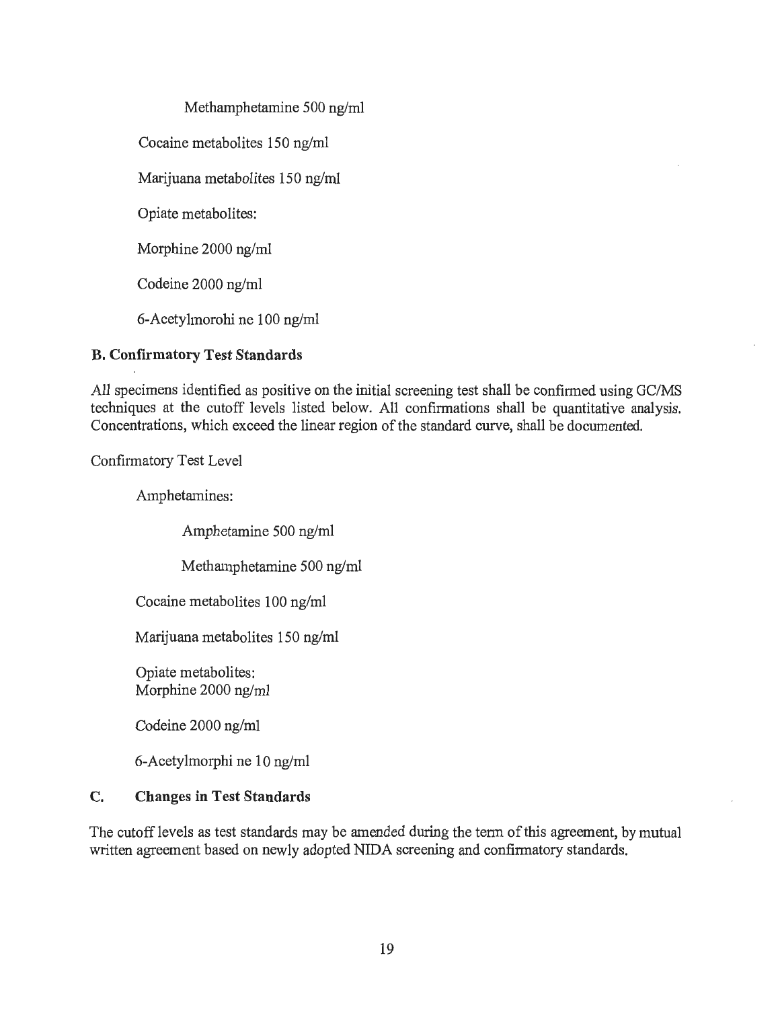Methamphetamine 500 ng/ml

Cocaine metabolites 150 ng/ml

Marijuana metabolites 150 ng/ml

Opiate metabolites:

Morphine 2000 ng/ml

Codeine 2000 ng/ml

6-Acetylmorohi ne 100 ng/ml

## **B. Confirmatory Test Standards**

All specimens identified as positive on the initial screening test shall be confirmed using GC/MS techniques at the cutoff levels listed below. All confirmations shall be quantitative analysis. Concentrations, which exceed the linear region of the standard curve, shall be documented.

Confirmatory Test Level

Amphetamines:

Amphetamine 500 ng/ml

Methamphetamine 500 ng/ml

Cocaine metabolites 100 ng/ml

Marijuana metabolites 150 ng/ml

Opiate metabolites: Morphine 2000 ng/ml

Codeine 2000 ng/ml

6-Acetylmorphi ne 10 ng/ml

## **C. Changes in Test Standards**

The cutoff levels as test standards may be amended during the tenn of this agreement, by mutual written agreement based on newly adopted NIDA screening and confirmatory standards.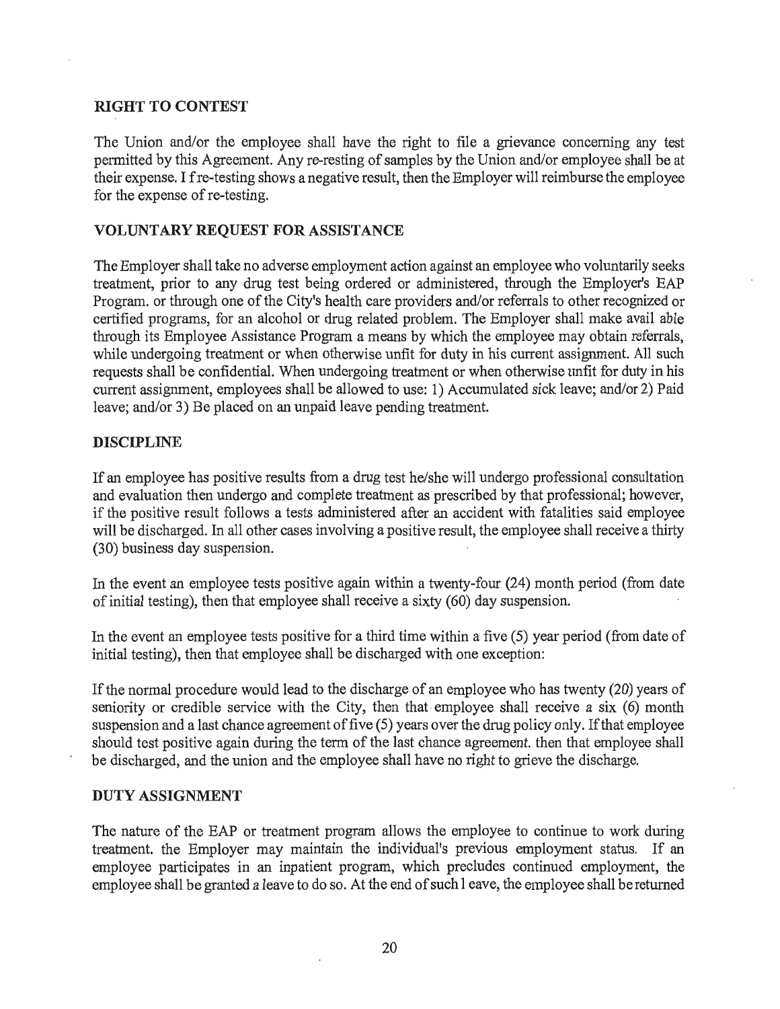## RIGHT TO CONTEST

The Union and/or the employee shall have the right to file a grievance concerning any test permitted by this Agreement. Any re-resting of samples by the Union and/or employee shall be at their expense. I fre-testing shows a negative result, then the Employer will reimburse the employee for the expense of re-testing.

#### VOLUNTARY REQUEST FOR ASSISTANCE

The Employer shall take no adverse employment action against an employee who voluntarily seeks treatment, prior to any drug test being ordered or administered, through the Employer's EAP Program. or through one of the City's health care providers and/or referrals to other recognized or certified programs, for an alcohol or drug related problem. The Employer shall make avail able through its Employee Assistance Program a means by which the employee may obtain referrals, while undergoing treatment or when otherwise unfit for duty in his current assignment. All such requests shall be confidential. When undergoing treatment or when otherwise unfit for duty in his current assignment, employees shall be allowed to use: 1) Accumulated sick leave; and/or 2) Paid leave; and/or 3) Be placed on an unpaid leave pending treatment.

#### DISCIPLINE

If an employee has positive results from a drug test he/she will undergo professional consultation and evaluation then undergo and complete treatment as prescribed by that professional; however, if the positive result follows a tests administered after an accident with fatalities said employee will be discharged. In all other cases involving a positive result, the employee shall receive a thirty (30) business day suspension.

In the event an employee tests positive again within a twenty-four (24) month period (from date of initial testing), then that employee shall receive a sixty (60) day suspension.

In the event an employee tests positive for a third time within a five (5) year period (from date of initial testing), then that employee shall be discharged with one exception:

If the normal procedure would lead to the discharge of an employee who has twenty (20) years of seniority or credible service with the City, then that employee shall receive a six (6) month suspension and a last chance agreement of five (5) years over the drug policy only. If that employee should test positive again during the term of the last chance agreement. then that employee shall be discharged, and the union and the employee shall have no right to grieve the discharge.

#### DUTY ASSIGNMENT

The nature of the EAP or treatment program allows the employee to continue to work during treatment. the Employer may maintain the individual's previous employment status. If an employee participates in an inpatient program, which precludes continued employment, the employee shall be granted a leave to do so. At the end of such 1 eave, the employee shall be returned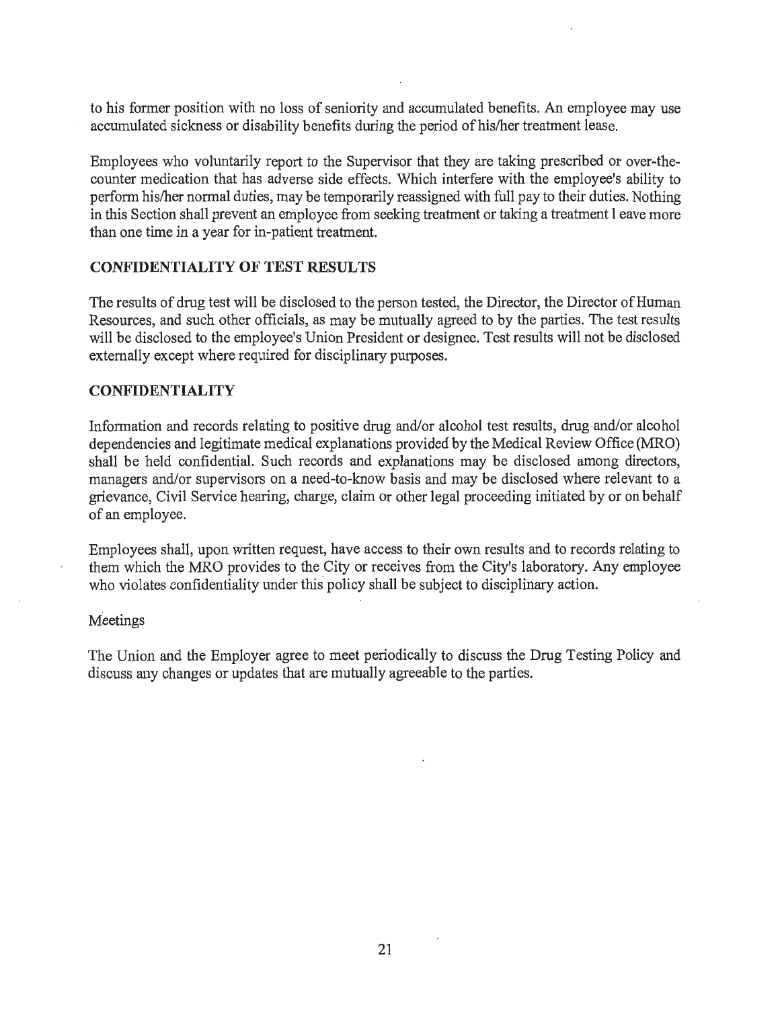to his former position with no loss of seniority and accumulated benefits. An employee may use accumulated sickness or disability benefits during the period of his/her treatment lease.

Employees who voluntarily report to the Supervisor that they are taking prescribed or over-thecounter medication that has adverse side effects. Which interfere with the employee's ability to perform his/her normal duties, may be temporarily reassigned with full pay to their duties. Nothing in this Section shall prevent an employee from seeking treatment or taking a treatment **1** eave more than one time in a year for in-patient treatment.

#### **CONFIDENTIALITY OF TEST RESULTS**

The results of drug test will be disclosed to the person tested, the Director, the Director of Human Resources, and such other officials, as may be mutually agreed to by the parties. The test results will be disclosed to the employee's Union President or designee. Test results will not be disclosed externally except where required for disciplinary purposes.

#### **CONFIDENTIALITY**

Information and records relating to positive drug and/or alcohol test results, drug and/or alcohol dependencies and legitimate medical explanations provided by the Medical Review Office (MRO) shall be held confidential. Such records and explanations may be disclosed among directors, managers and/or supervisors on a need-to-know basis and may be disclosed where relevant to a grievance, Civil Service hearing, charge, claim or other legal proceeding initiated by or on behalf of an employee.

Employees shall, upon written request, have access to their own results and to records relating to them which the MRO provides to the City or receives from the City's laboratory. Any employee who violates confidentiality under this policy shall be subject to disciplinary action.

#### Meetings

The Union and the Employer agree to meet periodically to discuss the Drug Testing Policy and discuss any changes or updates that are mutually agreeable to the parties.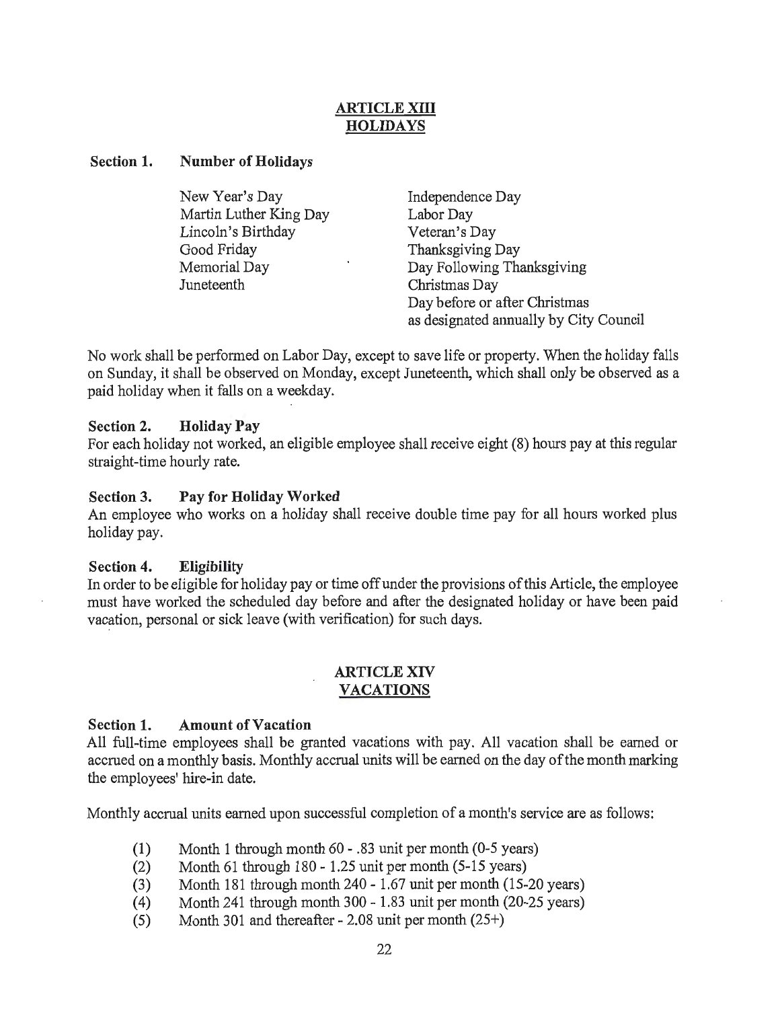# ARTICLE XIII **HOLIDAYS**

#### Section 1. Number of Holidays

| New Year's Day         | Independence Day                       |
|------------------------|----------------------------------------|
| Martin Luther King Day | Labor Day                              |
| Lincoln's Birthday     | Veteran's Day                          |
| Good Friday            | Thanksgiving Day                       |
| Memorial Day           | Day Following Thanksgiving             |
| Juneteenth             | Christmas Day                          |
|                        | Day before or after Christmas          |
|                        | as designated annually by City Council |

No work shall be performed on Labor Day, except to save life or property. When the holiday falls on Sunday, it shall be observed on Monday, except Juneteenth, which shall only be observed as a paid holiday when it falls on a weekday.

## Section 2. Holiday Pay

For each holiday not worked, an eligible employee shall receive eight (8) hours pay at this regular straight-time hourly rate.

#### Section 3. Pay for Holiday Worked

An employee who works on a holiday shall receive double time pay for all hours worked plus holiday pay.

#### Section 4. Eligibility

In order to be eligible for holiday pay or time off under the provisions of this Article, the employee must have worked the scheduled day before and after the designated holiday or have been paid vacation, personal or sick leave (with verification) for such days.

#### ARTICLE XIV VACATIONS

## Section 1. Amount of Vacation

All full-time employees shall be granted vacations with pay. All vacation shall be earned or accrued on a monthly basis. Monthly accrual units will be earned on the day of the month marking the employees' hire-in date.

Monthly accrual units earned upon successful completion of a month's service are as follows:

- (1) Month 1 through month 60 .83 unit per month (0-5 years)
- (2) Month 61 through  $180 1.25$  unit per month (5-15 years)
- (3) Month 181 through month 240 1.67 unit per month (15-20 years)
- ( 4) Month 241 through month 300 1.83 unit per month (20-25 years)
- (5) Month 301 and thereafter 2.08 unit per month (25+)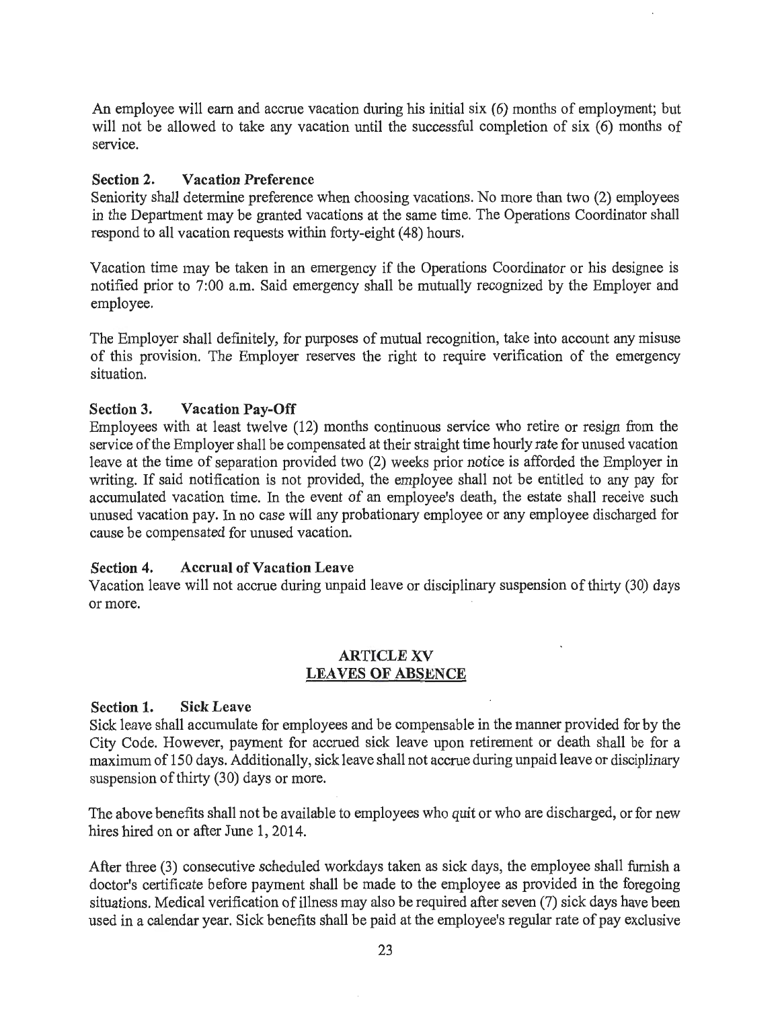An employee will earn and accrue vacation during his initial six (6) months of employment; but will not be allowed to take any vacation until the successful completion of six (6) months of service.

## Section 2. Vacation Preference

Seniority shall determine preference when choosing vacations. No more than two (2) employees in the Department may be granted vacations at the same time. The Operations Coordinator shall respond to all vacation requests within forty-eight (48) hours.

Vacation time may be taken in an emergency if the Operations Coordinator or his designee is notified prior to 7:00 a.m. Said emergency shall be mutually recognized by the Employer and employee.

The Employer shall definitely, for purposes of mutual recognition, take into account any misuse of this provision. The Employer reserves the right to require verification of the emergency situation.

## Section 3. Vacation Pay-Off

Employees with at least twelve (12) months continuous service who retire or resign from the service of the Employer shall be compensated at their straight time hourly rate for unused vacation leave at the time of separation provided two (2) weeks prior notice is afforded the Employer in writing. If said notification is not provided, the employee shall not be entitled to any pay for accumulated vacation time. In the event of an employee's death, the estate shall receive such unused vacation pay. In no case will any probationary employee or any employee discharged for cause be compensated for unused vacation.

#### Section 4. Accrual of Vacation Leave

Vacation leave will not accrue during unpaid leave or disciplinary suspension of thirty (30) days or more.

#### ARTICLE XV LEAVES OF ABSENCE

#### Section 1. Sick Leave

Sick leave shall accumulate for employees and be compensable in the manner provided for by the City Code. However, payment for accrued sick leave upon retirement or death shall be for a maximum of 150 days. Additionally, sick leave shall not accrue during unpaid leave or disciplinary suspension of thirty (30) days or more.

The above benefits shall not be available to employees who quit or who are discharged, or for new hires hired on or after June 1, 2014.

After three (3) consecutive scheduled workdays taken as sick days, the employee shall furnish a doctor's certificate before payment shall be made to the employee as provided in the foregoing situations. Medical verification of illness may also be required after seven (7) sick days have been used in a calendar year. Sick benefits shall be paid at the employee's regular rate of pay exclusive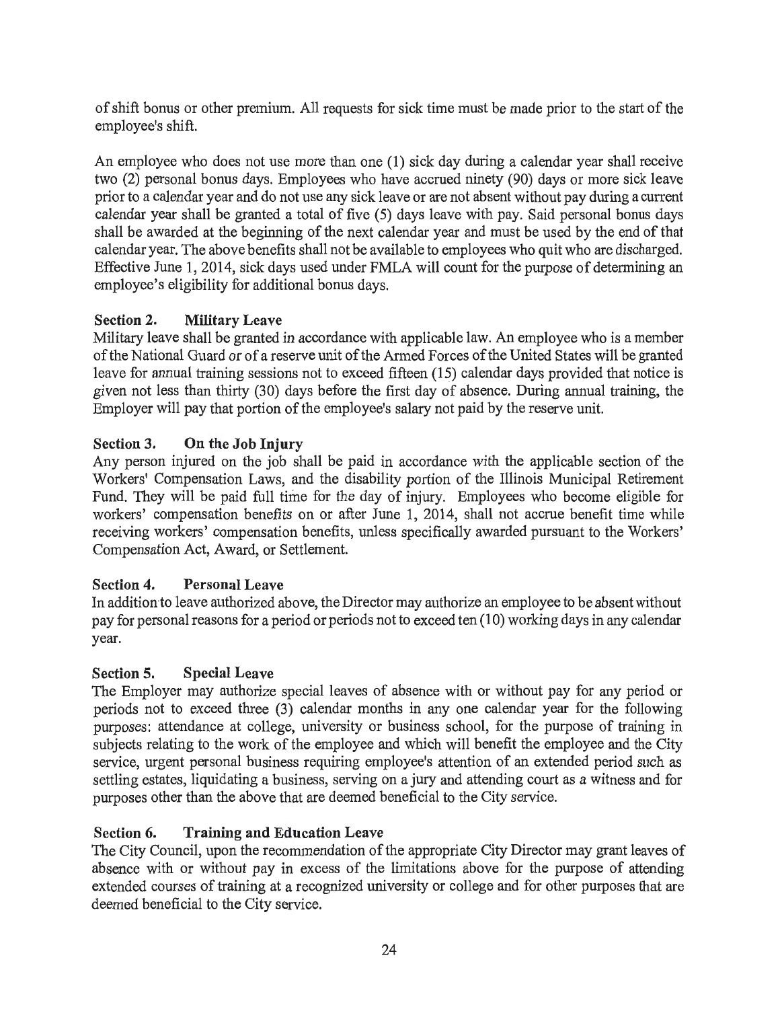of shift bonus or other premium. All requests for sick time must be made prior to the start of the employee's shift.

An employee who does not use more than one (1) sick day during a calendar year shall receive two (2) personal bonus days. Employees who have accrued ninety (90) days or more sick leave prior to a calendar year and do not use any sick leave or are not absent without pay during a current calendar year shall be granted a total of five (5) days leave with pay. Said personal bonus days shall be awarded at the beginning of the next calendar year and must be used by the end of that calendar year. The above benefits shall not be available to employees who quit who are discharged. Effective June 1, 2014, sick days used under FMLA will count for the purpose of determining an employee's eligibility for additional bonus days.

# Section 2. Military Leave

Military leave shall be granted in accordance with applicable law. An employee who is a member of the National Guard or of a reserve unit of the Armed Forces of the United States will be granted leave for annual training sessions not to exceed fifteen (15) calendar days provided that notice is given not less than thirty (30) days before the first day of absence. During annual training, the Employer will pay that portion of the employee's salary not paid by the reserve unit.

# Section 3. On the Job Injury

Any person injured on the job shall be paid in accordance with the applicable section of the Workers' Compensation Laws, and the disability portion of the Illinois Municipal Retirement Fund. They will be paid full time for the day of injury. Employees who become eligible for workers' compensation benefits on or after June 1, 2014, shall not accrue benefit time while receiving workers' compensation benefits, unless specifically awarded pursuant to the Workers' Compensation Act, Award, or Settlement.

# Section 4. Personal Leave

In additionto leave authorized above, the Director may authorize an employee to be absent without pay for personal reasons for a period or periods not to exceed ten (10) working days in any calendar year.

# Section 5. Special Leave

The Employer may authorize special leaves of absence with or without pay for any period or periods not to exceed three (3) calendar months in any one calendar year for the following purposes: attendance at college, university or business school, for the purpose of training in subjects relating to the work of the employee and which will benefit the employee and the City service, urgent personal business requiring employee's attention of an extended period such as settling estates, liquidating a business, serving on a jury and attending court as a witness and for purposes other than the above that are deemed beneficial to the City service.

# Section 6. Training and Education Leave

The City Council, upon the recommendation of the appropriate City Director may grant leaves of absence with or without pay in excess of the limitations above for the purpose of attending extended courses of training at a recognized university or college and for other purposes that are deemed beneficial to the City service.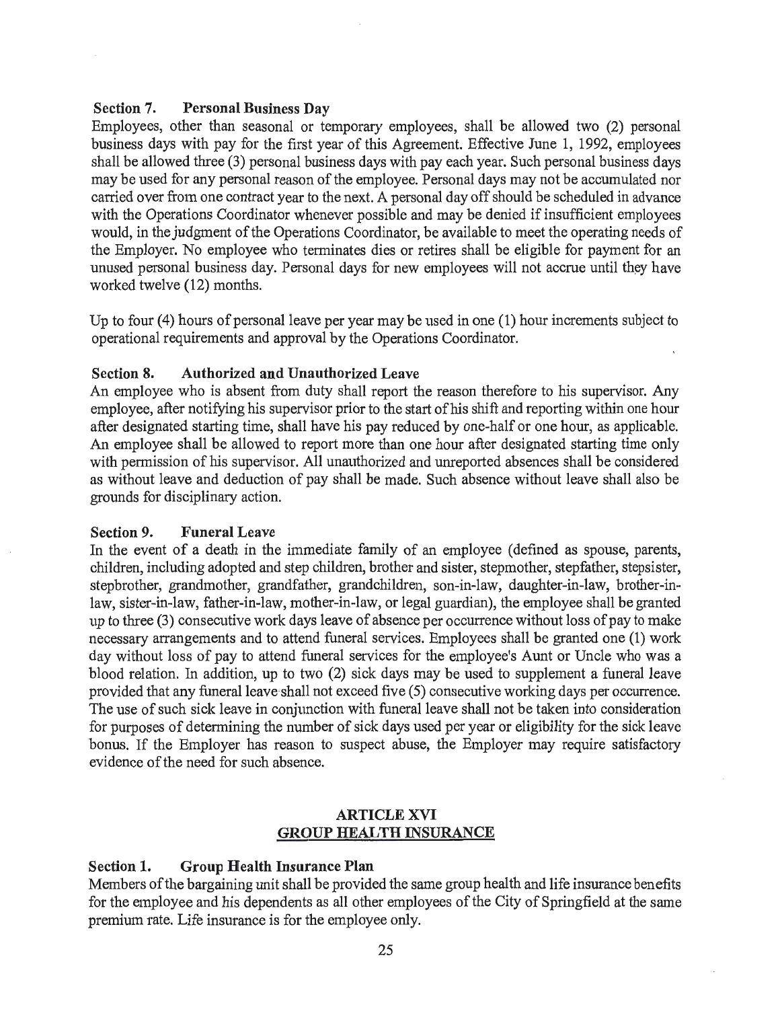#### Section 7. Personal Business Day

Employees, other than seasonal or temporary employees, shall be allowed two (2) personal business days with pay for the first year of this Agreement. Effective June 1, 1992, employees shall be allowed three (3) personal business days with pay each year. Such personal business days may be used for any personal reason of the employee. Personal days may not be accumulated nor carried over from one contract year to the next. A personal day off should be scheduled in advance with the Operations Coordinator whenever possible and may be denied if insufficient employees would, in the judgment of the Operations Coordinator, be available to meet the operating needs of the Employer. No employee who terminates dies or retires shall be eligible for payment for an unused personal business day. Personal days for new employees will not accrue until they have worked twelve (12) months.

Up to four (4) hours of personal leave per year may be used in one (1) hour increments subject to operational requirements and approval by the Operations Coordinator.

#### Section 8. Authorized and Unauthorized Leave

An employee who is absent from duty shall report the reason therefore to his supervisor. Any employee, after notifying his supervisor prior to the start of his shift and reporting within one hour after designated starting time, shall have his pay reduced by one-half or one hour, as applicable. An employee shall be allowed to report more than one hour after designated starting time only with pennission of his supervisor. All unauthorized and unreported absences shall be considered as without leave and deduction of pay shall be made. Such absence without leave shall also be grounds for disciplinary action.

#### Section 9. Funeral Leave

In the event of a death in the immediate family of an employee (defined as spouse, parents, children, including adopted and step children, brother and sister, stepmother, stepfather, stepsister, stepbrother, grandmother, grandfather, grandchildren, son-in-law, daughter-in-law, brother-inlaw, sister-in-law, father-in-law, mother-in-law, or legal guardian), the employee shall be granted up to three (3) consecutive work days leave of absence per occurrence without loss of pay to make necessary arrangements and to attend funeral services. Employees shall be granted one (1) work day without loss of pay to attend funeral services for the employee's Aunt or Uncle who was a blood relation. In addition, up to two (2) sick days may be used to supplement a funeral leave provided that any funeral leave shall not exceed five (5) consecutive working days per occurrence. The use of such sick leave in conjunction with funeral leave shall not be taken into consideration for purposes of determining the number of sick days used per year or eligibility for the sick leave bonus. If the Employer has reason to suspect abuse, the Employer may require satisfactory evidence of the need for such absence.

#### ARTICLE XVI GROUP HEAL TH INSURANCE

#### Section 1. Group Health Insurance Plan

Members of the bargaining unit shall be provided the same group health and life insurance benefits for the employee and his dependents as all other employees of the City of Springfield at the same premium rate. Life insurance is for the employee only.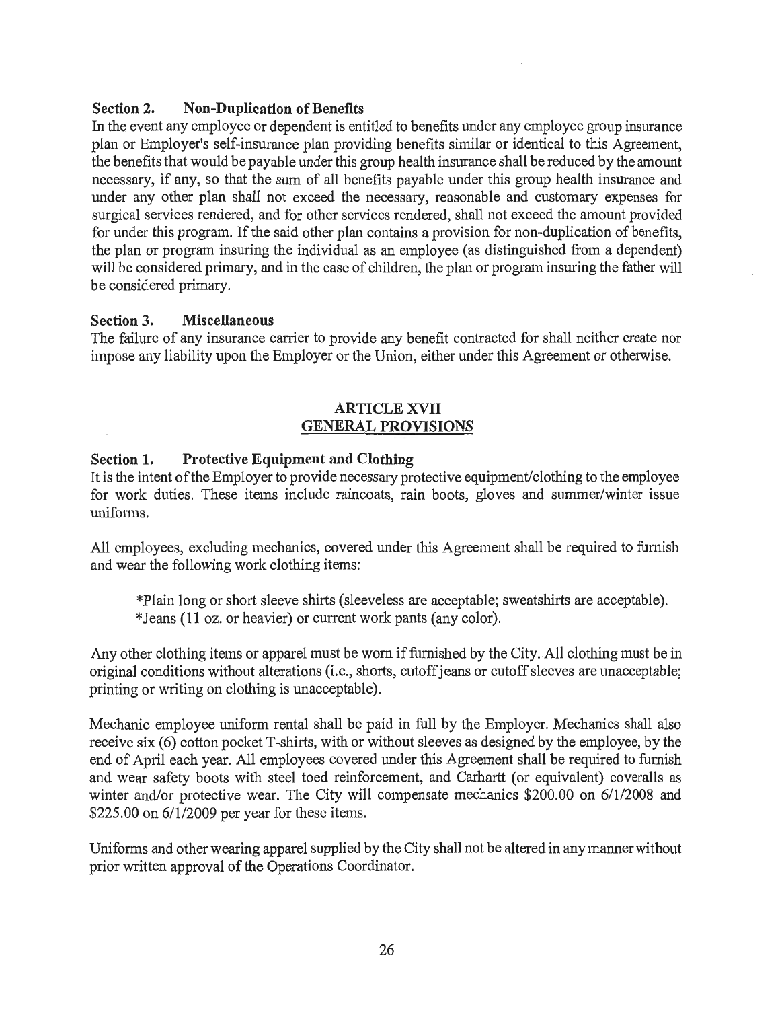# Section 2. Non-Duplication of Benefits

In the event any employee or dependent is entitled to benefits under any employee group insurance plan or Employer's self-insurance plan providing benefits similar or identical to this Agreement, the benefits that would be payable under this group health insurance shall be reduced by the amount necessary, if any, so that the sum of all benefits payable under this group health insurance and under any other plan shall not exceed the necessary, reasonable and customary expenses for surgical services rendered, and for other services rendered, shall not exceed the amount provided for under this program. If the said other plan contains a provision for non-duplication of benefits, the plan or program insuring the individual as an employee (as distinguished from a dependent) will be considered primary, and in the case of children, the plan or program insuring the father will be considered primary.

## Section 3. Miscellaneous

The failure of any insurance canier to provide any benefit contracted for shall neither create nor impose any liability upon the Employer or the Union, either under this Agreement or otherwise.

## ARTICLE XVII GENERAL PROVISIONS

## Section 1. Protective Equipment and Clothing

It is the intent of the Employer to provide necessary protective equipment/clothing to the employee for work duties. These items include raincoats, rain boots, gloves and summer/winter issue uniforms.

All employees, excluding mechanics, covered under this Agreement shall be required to furnish and wear the following work clothing items:

\*Plain long or short sleeve shirts (sleeveless are acceptable; sweatshirts are acceptable). \*Jeans (11 oz. or heavier) or current work pants (any color).

Any other clothing items or apparel must be worn if furnished by the City.All clothing must be in original conditions without alterations (i.e., shorts, cutoff jeans or cutoff sleeves are unacceptable; printing or writing on clothing is unacceptable).

Mechanic employee uniform rental shall be paid in full by the Employer. Mechanics shall also receive six (6) cotton pocket T-shirts, with or without sleeves as designed by the employee, by the end of April each year. All employees covered under this Agreement shall be required to furnish and wear safety boots with steel toed reinforcement, and Carhartt (or equivalent) coveralls as winter and/or protective wear. The City will compensate mechanics \$200.00 on 6/1/2008 and \$225.00 on 611/2009 per year for these items.

Uniforms and other wearing apparel supplied by the City shall not be altered in any manner without prior written approval of the Operations Coordinator.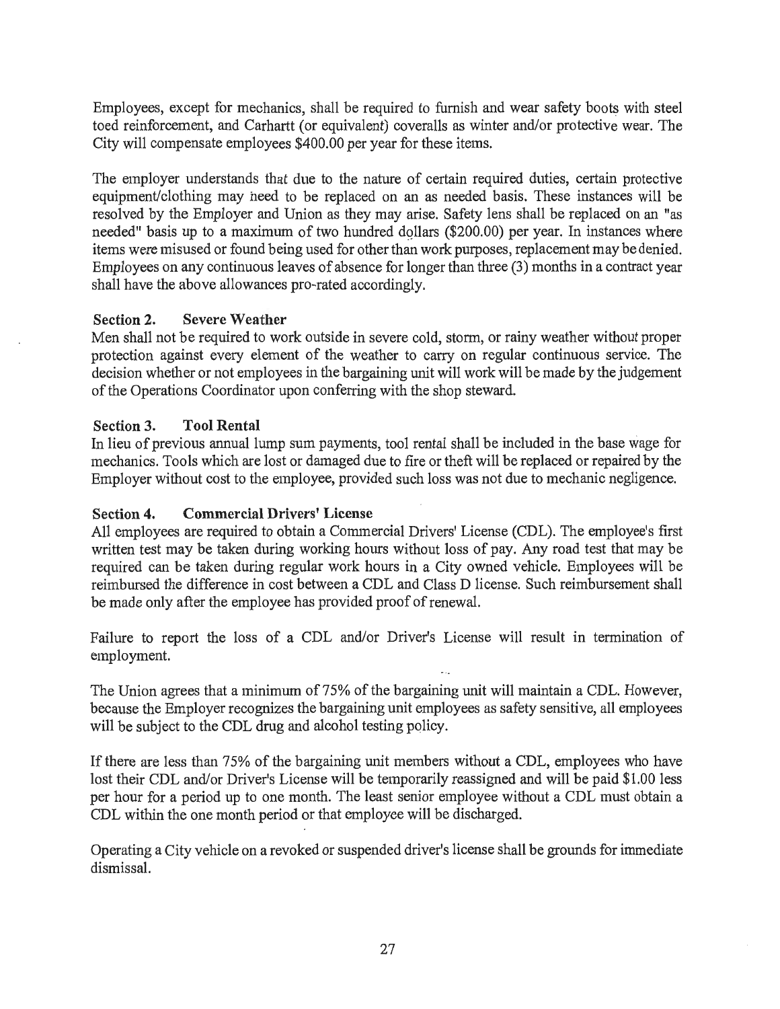Employees, except for mechanics, shall be required to furnish and wear safety boots with steel toed reinforcement, and Carhartt (or equivalent) coveralls as winter and/or protective wear. The City will compensate employees \$400.00 per year for these items.

The employer understands that due to the nature of certain required duties, certain protective equipment/clothing may heed to be replaced on an as needed basis. These instances will be resolved by the Employer and Union as they may arise. Safety lens shall be replaced on an "as needed" basis up to a maximum of two hundred dollars (\$200.00) per year. In instances where items were misused or found being used for other than work purposes, replacement may be denied. Employees on any continuous leaves of absence for longer than three (3) months in a contract year shall have the above allowances pro-rated accordingly.

#### Section 2. Severe Weather

Men shall not be required to work outside in severe cold, storm, or rainy weather without proper protection against every element of the weather to carry on regular continuous service. The decision whether or not employees in the bargaining unit will work will be made by the judgement of the Operations Coordinator upon conferring with the shop steward.

## Section 3. Tool Rental

In lieu of previous annual lump sum payments, tool rental shall be included in the base wage for mechanics. Tools which are lost or damaged due to fire or theft will be replaced or repaired by the Employer without cost to the employee, provided such loss was not due to mechanic negligence.

## Section 4. Commercial Drivers' License

All employees are required to obtain a Commercial Drivers' License (CDL). The employee's first written test may be taken during working hours without loss of pay. Any road test that may be required can be taken during regular work hours in a City owned vehicle. Employees will be reimbursed the difference in cost between a CDL and Class D license. Such reimbursement shall be made only after the employee has provided proof of renewal.

Failure to report the loss of a CDL and/or Driver's License will result in termination of employment.

The Union agrees that a minimum of 75% of the bargaining unit will maintain a CDL. However, because the Employer recognizes the bargaining unit employees as safety sensitive, all employees will be subject to the CDL drug and alcohol testing policy.

If there are less than 75% of the bargaining unit members without a CDL, employees who have lost their CDL and/or Driver's License will be temporarily reassigned and will be paid \$1.00 less per hour for a period up to one month. The least senior employee without a CDL must obtain a CDL within the one month period or that employee will be discharged.

Operating a City vehicle on a revoked or suspended driver's license shall be grounds for immediate dismissal.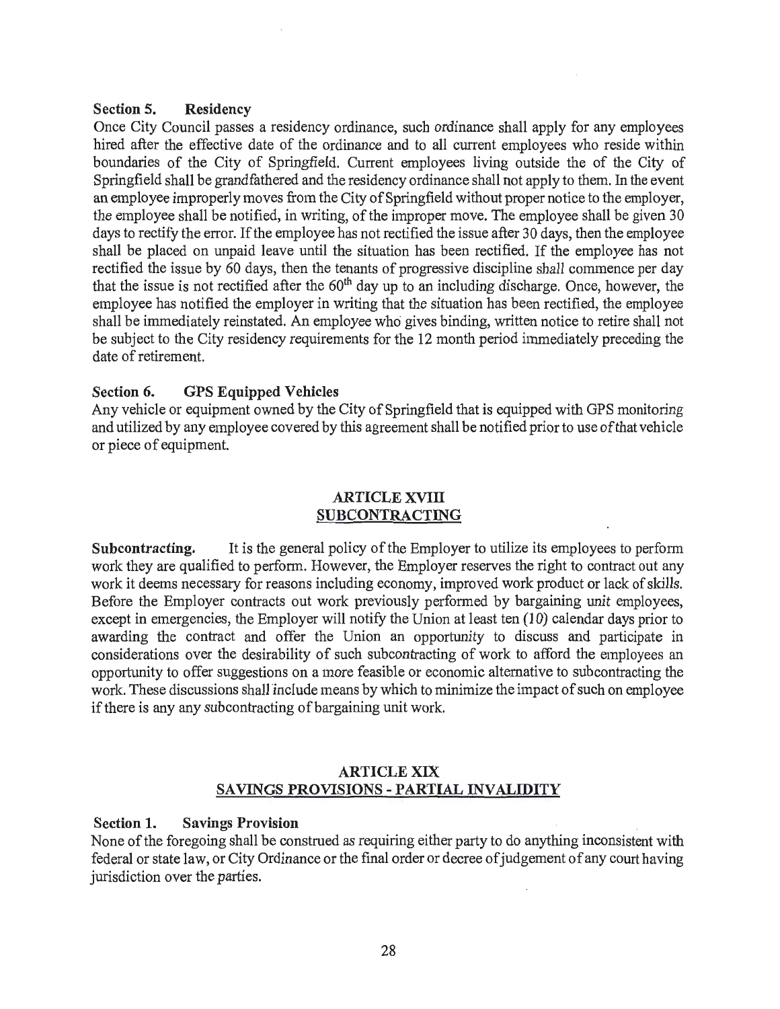#### Section 5. Residency

Once City Council passes a residency ordinance, such ordinance shall apply for any employees hired after the effective date of the ordinance and to all current employees who reside within boundaries of the City of Springfield. Current employees living outside the of the City of Springfield shall be grandfathered and the residency ordinance shall not apply to them. In the event an employee improperly moves from the City of Springfield without proper notice to the employer, the employee shall be notified, in writing, of the improper move. The employee shall be given 30 days to rectify the error. If the employee has not rectified the issue after 30 days, then the employee shall be placed on unpaid leave until the situation has been rectified. If the employee has not rectified the issue by 60 days, then the tenants of progressive discipline shall commence per day that the issue is not rectified after the 60<sup>th</sup> day up to an including discharge. Once, however, the employee has notified the employer in writing that the situation has been rectified, the employee shall be immediately reinstated. An employee who gives binding, written notice to retire shall not be subject to the City residency requirements for the 12 month period immediately preceding the date of retirement.

## Section 6. GPS Equipped Vehicles

Any vehicle or equipment owned by the City of Springfield that is equipped with GPS monitoring and utilized by any employee covered by this agreement shall be notified prior to use of that vehicle or piece of equipment.

## ARTICLE XVIII SUBCONTRACTING

Subcontracting. It is the general policy of the Employer to utilize its employees to perform work they are qualified to perform. However, the Employer reserves the right to contract out any work it deems necessary for reasons including economy, improved work product or lack of skills. Before the Employer contracts out work previously performed by bargaining unit employees, except in emergencies, the Employer will notify the Union at least ten (10) calendar days prior to awarding the contract and offer the Union an opportunity to discuss and participate in considerations over the desirability of such subcontracting of work to afford the employees an opportunity to offer suggestions on a more feasible or economic alternative to subcontracting the work. These discussions shall include means by which to minimize the impact of such on employee if there is any any subcontracting of bargaining unit work.

### ARTICLE XIX SAVINGS PROVISIONS - PARTIAL INVALIDITY

#### Section 1. Savings Provision

None of the foregoing shall be construed as requiring either party to do anything inconsistent with federal or state law, or City Ordinance or the final order or decree of judgement of any court having jurisdiction over the parties.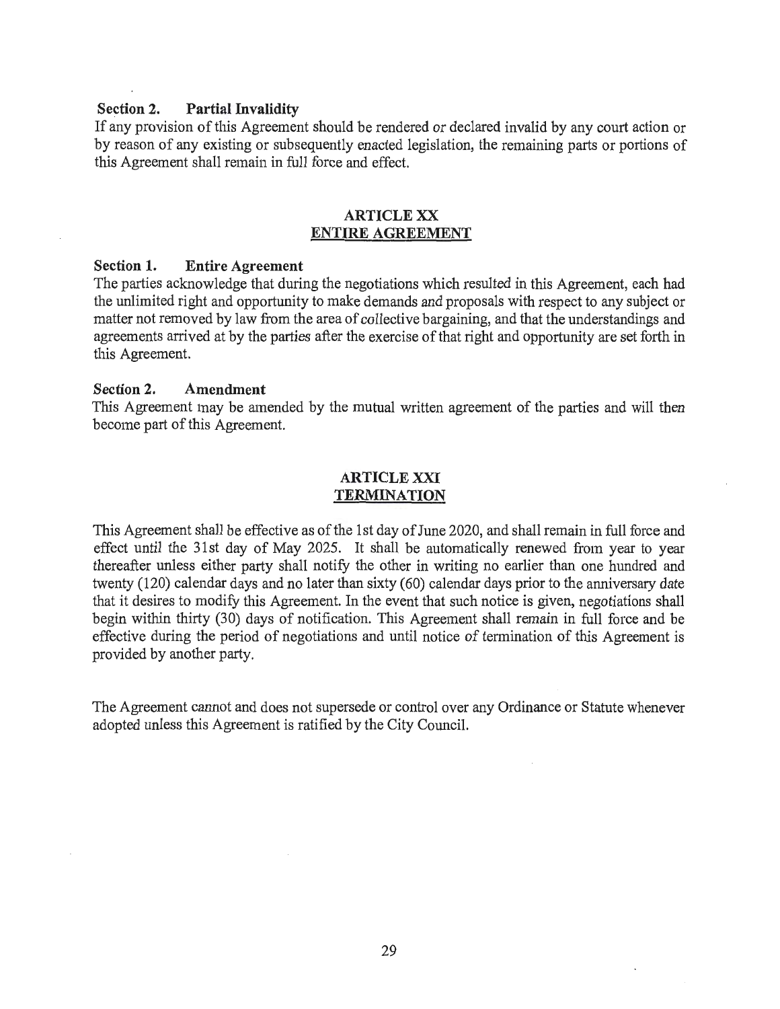#### **Section 2. Partial Invalidity**

If any provision of this Agreement should be rendered or declared invalid by any court action or by reason of any existing or subsequently enacted legislation, the remaining parts or portions of this Agreement shall remain in full force and effect.

#### **ARTICLE XX ENTIRE AGREEMENT**

#### **Section 1. Entire Agreement**

The parties acknowledge that during the negotiations which resulted in this Agreement, each had the unlimited right and opportunity to make demands and proposals with respect to any subject or matter not removed by law from the area of collective bargaining, and that the understandings and agreements arrived at by the parties after the exercise of that right and opportunity are set forth in this Agreement.

#### **Section 2. Amendment**

This Agreement may be amended by the mutual written agreement of the parties and will then become part of this Agreement.

### **ARTICLEXXI TERMINATION**

This Agreement shall be effective as of the 1st day of June 2020, and shall remain in full force and effect until the 31st day of May 2025. It shall be automatically renewed from year to year thereafter unless either party shall notify the other in writing no earlier than one hundred and twenty (120) calendar days and no later than sixty (60) calendar days prior to the anniversary date that it desires to modify this Agreement. In the event that such notice is given, negotiations shall begin within thirty (30) days of notification. This Agreement shall remain in full force and be effective during the period of negotiations and until notice of termination of this Agreement is provided by another party.

The Agreement cannot and does not supersede or control over any Ordinance or Statute whenever adopted unless this Agreement is ratified by the City Council.